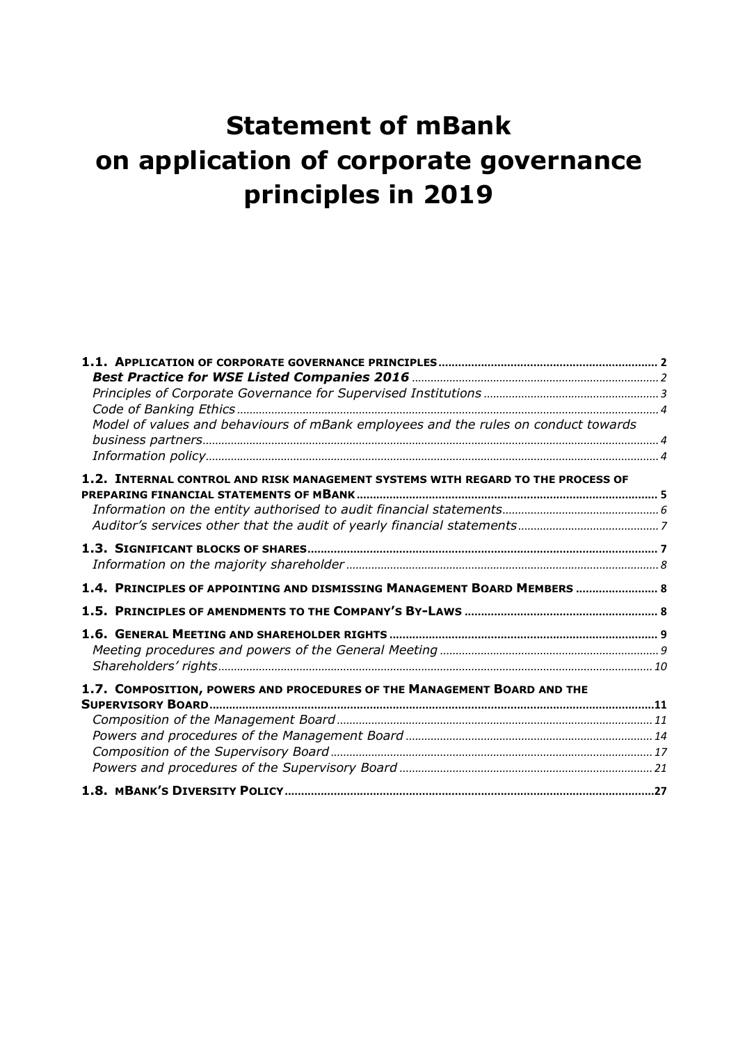# <span id="page-0-0"></span>**Statement of mBank on application of corporate governance principles in 2019**

| Model of values and behaviours of mBank employees and the rules on conduct towards |  |
|------------------------------------------------------------------------------------|--|
|                                                                                    |  |
|                                                                                    |  |
| 1.2. INTERNAL CONTROL AND RISK MANAGEMENT SYSTEMS WITH REGARD TO THE PROCESS OF    |  |
|                                                                                    |  |
|                                                                                    |  |
|                                                                                    |  |
|                                                                                    |  |
|                                                                                    |  |
| 1.4. PRINCIPLES OF APPOINTING AND DISMISSING MANAGEMENT BOARD MEMBERS  8           |  |
|                                                                                    |  |
|                                                                                    |  |
|                                                                                    |  |
|                                                                                    |  |
| 1.7. COMPOSITION, POWERS AND PROCEDURES OF THE MANAGEMENT BOARD AND THE            |  |
|                                                                                    |  |
|                                                                                    |  |
|                                                                                    |  |
|                                                                                    |  |
|                                                                                    |  |
|                                                                                    |  |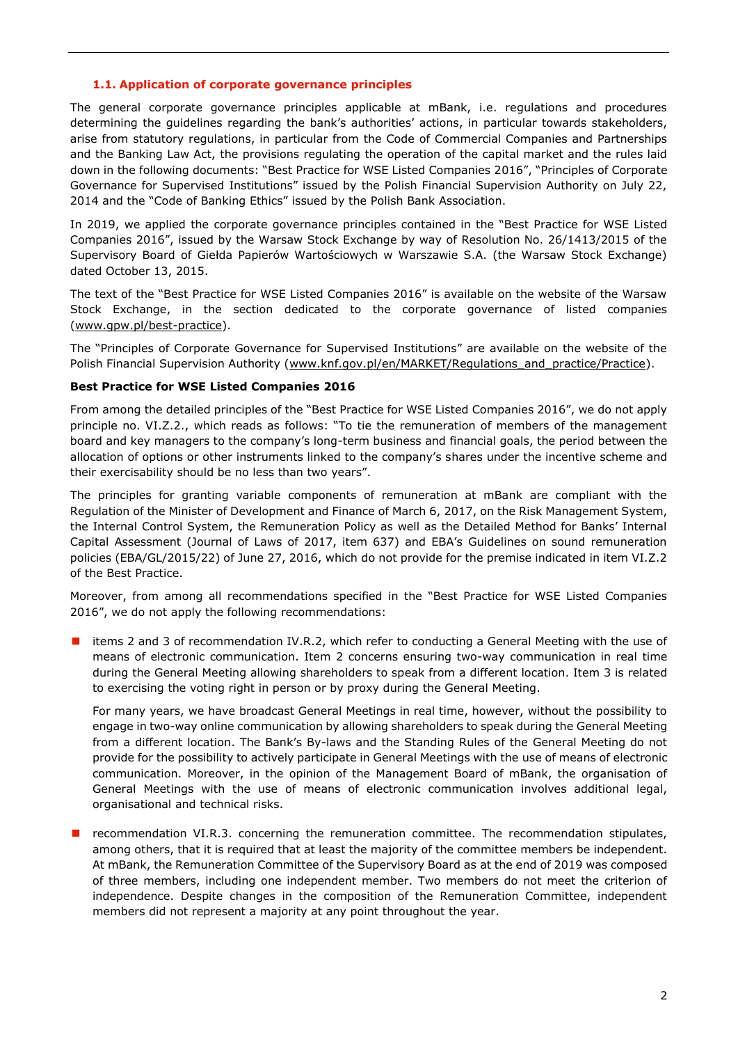#### **1.1. Application of corporate governance principles**

<span id="page-1-0"></span>The general corporate governance principles applicable at mBank, i.e. regulations and procedures determining the guidelines regarding the bank's authorities' actions, in particular towards stakeholders, arise from statutory regulations, in particular from the Code of Commercial Companies and Partnerships and the Banking Law Act, the provisions regulating the operation of the capital market and the rules laid down in the following documents: "Best Practice for WSE Listed Companies 2016", "Principles of Corporate Governance for Supervised Institutions" issued by the Polish Financial Supervision Authority on July 22, 2014 and the "Code of Banking Ethics" issued by the Polish Bank Association.

In 2019, we applied the corporate governance principles contained in the "Best Practice for WSE Listed Companies 2016", issued by the Warsaw Stock Exchange by way of Resolution No. 26/1413/2015 of the Supervisory Board of Giełda Papierów Wartościowych w Warszawie S.A. (the Warsaw Stock Exchange) dated October 13, 2015.

The text of the "Best Practice for WSE Listed Companies 2016" is available on the website of the Warsaw Stock Exchange, in the section dedicated to the corporate governance of listed companies [\(www.gpw.pl/best-practice\)](http://www.gpw.pl/dobre-praktyki).

The "Principles of Corporate Governance for Supervised Institutions" are available on the website of the Polish Financial Supervision Authority (www.knf.gov.pl/en/MARKET/Regulations and practice/Practice).

#### <span id="page-1-1"></span>**Best Practice for WSE Listed Companies 2016**

From among the detailed principles of the "Best Practice for WSE Listed Companies 2016", we do not apply principle no. VI.Z.2., which reads as follows: "To tie the remuneration of members of the management board and key managers to the company's long-term business and financial goals, the period between the allocation of options or other instruments linked to the company's shares under the incentive scheme and their exercisability should be no less than two years".

The principles for granting variable components of remuneration at mBank are compliant with the Regulation of the Minister of Development and Finance of March 6, 2017, on the Risk Management System, the Internal Control System, the Remuneration Policy as well as the Detailed Method for Banks' Internal Capital Assessment (Journal of Laws of 2017, item 637) and EBA's Guidelines on sound remuneration policies (EBA/GL/2015/22) of June 27, 2016, which do not provide for the premise indicated in item VI.Z.2 of the Best Practice.

Moreover, from among all recommendations specified in the "Best Practice for WSE Listed Companies 2016", we do not apply the following recommendations:

■ items 2 and 3 of recommendation IV.R.2, which refer to conducting a General Meeting with the use of means of electronic communication. Item 2 concerns ensuring two-way communication in real time during the General Meeting allowing shareholders to speak from a different location. Item 3 is related to exercising the voting right in person or by proxy during the General Meeting.

For many years, we have broadcast General Meetings in real time, however, without the possibility to engage in two-way online communication by allowing shareholders to speak during the General Meeting from a different location. The Bank's By-laws and the Standing Rules of the General Meeting do not provide for the possibility to actively participate in General Meetings with the use of means of electronic communication. Moreover, in the opinion of the Management Board of mBank, the organisation of General Meetings with the use of means of electronic communication involves additional legal, organisational and technical risks.

 $\blacksquare$  recommendation VI.R.3. concerning the remuneration committee. The recommendation stipulates, among others, that it is required that at least the majority of the committee members be independent. At mBank, the Remuneration Committee of the Supervisory Board as at the end of 2019 was composed of three members, including one independent member. Two members do not meet the criterion of independence. Despite changes in the composition of the Remuneration Committee, independent members did not represent a majority at any point throughout the year.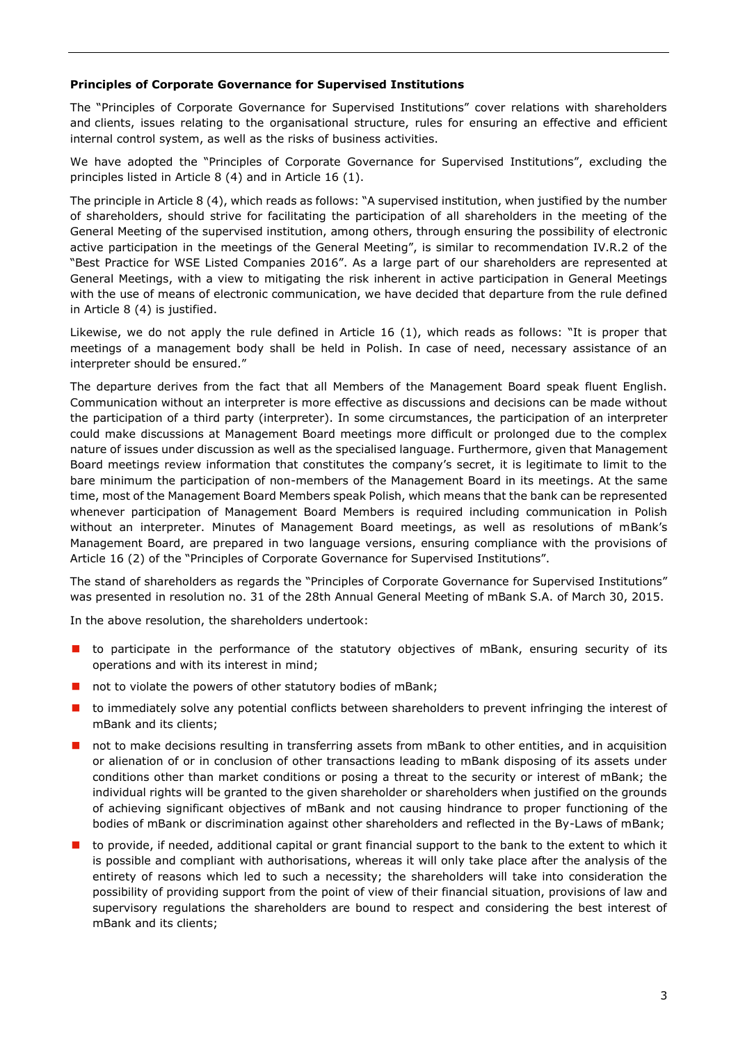#### <span id="page-2-0"></span>**Principles of Corporate Governance for Supervised Institutions**

The "Principles of Corporate Governance for Supervised Institutions" cover relations with shareholders and clients, issues relating to the organisational structure, rules for ensuring an effective and efficient internal control system, as well as the risks of business activities.

We have adopted the "Principles of Corporate Governance for Supervised Institutions", excluding the principles listed in Article 8 (4) and in Article 16 (1).

The principle in Article 8 (4), which reads as follows: "A supervised institution, when justified by the number of shareholders, should strive for facilitating the participation of all shareholders in the meeting of the General Meeting of the supervised institution, among others, through ensuring the possibility of electronic active participation in the meetings of the General Meeting", is similar to recommendation IV.R.2 of the "Best Practice for WSE Listed Companies 2016". As a large part of our shareholders are represented at General Meetings, with a view to mitigating the risk inherent in active participation in General Meetings with the use of means of electronic communication, we have decided that departure from the rule defined in Article 8 (4) is justified.

Likewise, we do not apply the rule defined in Article 16 (1), which reads as follows: "It is proper that meetings of a management body shall be held in Polish. In case of need, necessary assistance of an interpreter should be ensured."

The departure derives from the fact that all Members of the Management Board speak fluent English. Communication without an interpreter is more effective as discussions and decisions can be made without the participation of a third party (interpreter). In some circumstances, the participation of an interpreter could make discussions at Management Board meetings more difficult or prolonged due to the complex nature of issues under discussion as well as the specialised language. Furthermore, given that Management Board meetings review information that constitutes the company's secret, it is legitimate to limit to the bare minimum the participation of non-members of the Management Board in its meetings. At the same time, most of the Management Board Members speak Polish, which means that the bank can be represented whenever participation of Management Board Members is required including communication in Polish without an interpreter. Minutes of Management Board meetings, as well as resolutions of mBank's Management Board, are prepared in two language versions, ensuring compliance with the provisions of Article 16 (2) of the "Principles of Corporate Governance for Supervised Institutions".

The stand of shareholders as regards the "Principles of Corporate Governance for Supervised Institutions" was presented in resolution no. 31 of the 28th Annual General Meeting of mBank S.A. of March 30, 2015.

In the above resolution, the shareholders undertook:

- **I** to participate in the performance of the statutory objectives of mBank, ensuring security of its operations and with its interest in mind;
- not to violate the powers of other statutory bodies of mBank;
- **I** to immediately solve any potential conflicts between shareholders to prevent infringing the interest of mBank and its clients;
- not to make decisions resulting in transferring assets from mBank to other entities, and in acquisition or alienation of or in conclusion of other transactions leading to mBank disposing of its assets under conditions other than market conditions or posing a threat to the security or interest of mBank; the individual rights will be granted to the given shareholder or shareholders when justified on the grounds of achieving significant objectives of mBank and not causing hindrance to proper functioning of the bodies of mBank or discrimination against other shareholders and reflected in the By-Laws of mBank;
- to provide, if needed, additional capital or grant financial support to the bank to the extent to which it is possible and compliant with authorisations, whereas it will only take place after the analysis of the entirety of reasons which led to such a necessity; the shareholders will take into consideration the possibility of providing support from the point of view of their financial situation, provisions of law and supervisory regulations the shareholders are bound to respect and considering the best interest of mBank and its clients;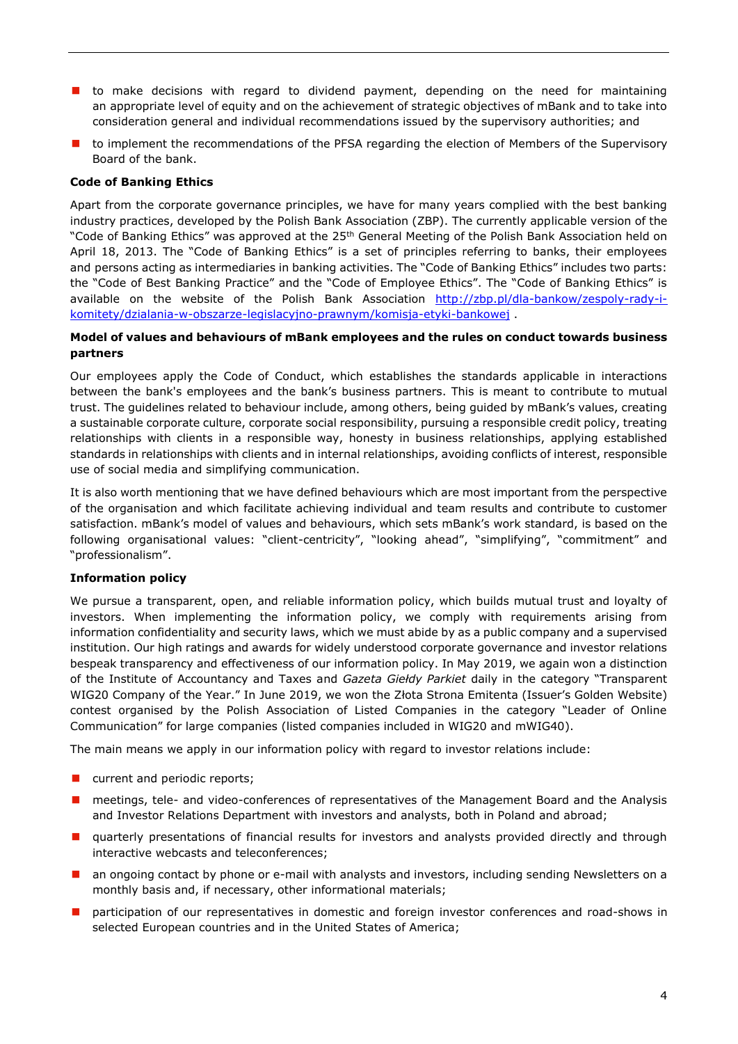- **t** to make decisions with regard to dividend payment, depending on the need for maintaining an appropriate level of equity and on the achievement of strategic objectives of mBank and to take into consideration general and individual recommendations issued by the supervisory authorities; and
- **th** to implement the recommendations of the PFSA regarding the election of Members of the Supervisory Board of the bank.

## <span id="page-3-0"></span>**Code of Banking Ethics**

Apart from the corporate governance principles, we have for many years complied with the best banking industry practices, developed by the Polish Bank Association (ZBP). The currently applicable version of the "Code of Banking Ethics" was approved at the 25<sup>th</sup> General Meeting of the Polish Bank Association held on April 18, 2013. The "Code of Banking Ethics" is a set of principles referring to banks, their employees and persons acting as intermediaries in banking activities. The "Code of Banking Ethics" includes two parts: the "Code of Best Banking Practice" and the "Code of Employee Ethics". The "Code of Banking Ethics" is available on the website of the Polish Bank Association [http://zbp.pl/dla-bankow/zespoly-rady-i](http://zbp.pl/dla-bankow/zespoly-rady-i-komitety/dzialania-w-obszarze-legislacyjno-prawnym/komisja-etyki-bankowej)[komitety/dzialania-w-obszarze-legislacyjno-prawnym/komisja-etyki-bankowej](http://zbp.pl/dla-bankow/zespoly-rady-i-komitety/dzialania-w-obszarze-legislacyjno-prawnym/komisja-etyki-bankowej) .

#### <span id="page-3-1"></span>**Model of values and behaviours of mBank employees and the rules on conduct towards business partners**

Our employees apply the Code of Conduct, which establishes the standards applicable in interactions between the bank's employees and the bank's business partners. This is meant to contribute to mutual trust. The guidelines related to behaviour include, among others, being guided by mBank's values, creating a sustainable corporate culture, corporate social responsibility, pursuing a responsible credit policy, treating relationships with clients in a responsible way, honesty in business relationships, applying established standards in relationships with clients and in internal relationships, avoiding conflicts of interest, responsible use of social media and simplifying communication.

It is also worth mentioning that we have defined behaviours which are most important from the perspective of the organisation and which facilitate achieving individual and team results and contribute to customer satisfaction. mBank's model of values and behaviours, which sets mBank's work standard, is based on the following organisational values: "client-centricity", "looking ahead", "simplifying", "commitment" and "professionalism".

#### <span id="page-3-2"></span>**Information policy**

We pursue a transparent, open, and reliable information policy, which builds mutual trust and loyalty of investors. When implementing the information policy, we comply with requirements arising from information confidentiality and security laws, which we must abide by as a public company and a supervised institution. Our high ratings and awards for widely understood corporate governance and investor relations bespeak transparency and effectiveness of our information policy. In May 2019, we again won a distinction of the Institute of Accountancy and Taxes and *Gazeta Giełdy Parkiet* daily in the category "Transparent WIG20 Company of the Year." In June 2019, we won the Złota Strona Emitenta (Issuer's Golden Website) contest organised by the Polish Association of Listed Companies in the category "Leader of Online Communication" for large companies (listed companies included in WIG20 and mWIG40).

The main means we apply in our information policy with regard to investor relations include:

- **n** current and periodic reports;
- **n** meetings, tele- and video-conferences of representatives of the Management Board and the Analysis and Investor Relations Department with investors and analysts, both in Poland and abroad;
- **E** quarterly presentations of financial results for investors and analysts provided directly and through interactive webcasts and teleconferences;
- an ongoing contact by phone or e-mail with analysts and investors, including sending Newsletters on a monthly basis and, if necessary, other informational materials;
- participation of our representatives in domestic and foreign investor conferences and road-shows in selected European countries and in the United States of America;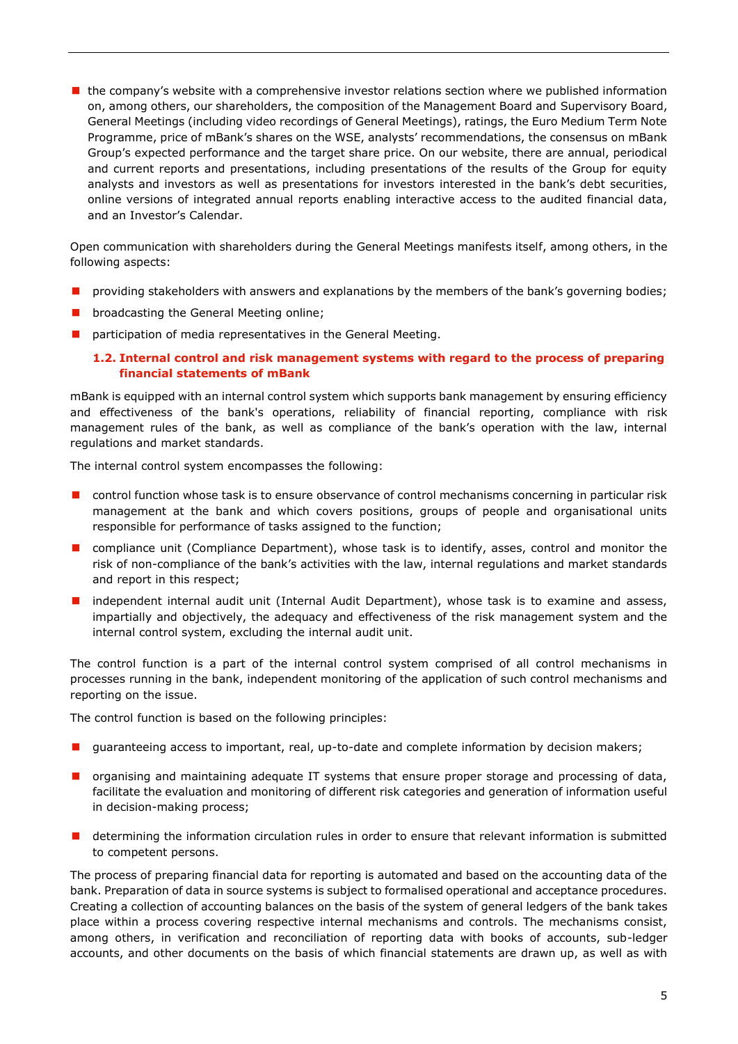$\blacksquare$  the company's website with a comprehensive investor relations section where we published information on, among others, our shareholders, the composition of the Management Board and Supervisory Board, General Meetings (including video recordings of General Meetings), ratings, the Euro Medium Term Note Programme, price of mBank's shares on the WSE, analysts' recommendations, the consensus on mBank Group's expected performance and the target share price. On our website, there are annual, periodical and current reports and presentations, including presentations of the results of the Group for equity analysts and investors as well as presentations for investors interested in the bank's debt securities, online versions of integrated annual reports enabling interactive access to the audited financial data, and an Investor's Calendar.

Open communication with shareholders during the General Meetings manifests itself, among others, in the following aspects:

- providing stakeholders with answers and explanations by the members of the bank's governing bodies;
- **D** broadcasting the General Meeting online;
- <span id="page-4-0"></span>**P** participation of media representatives in the General Meeting.

## **1.2. Internal control and risk management systems with regard to the process of preparing financial statements of mBank**

mBank is equipped with an internal control system which supports bank management by ensuring efficiency and effectiveness of the bank's operations, reliability of financial reporting, compliance with risk management rules of the bank, as well as compliance of the bank's operation with the law, internal regulations and market standards.

The internal control system encompasses the following:

- **D** control function whose task is to ensure observance of control mechanisms concerning in particular risk management at the bank and which covers positions, groups of people and organisational units responsible for performance of tasks assigned to the function;
- **D** compliance unit (Compliance Department), whose task is to identify, asses, control and monitor the risk of non-compliance of the bank's activities with the law, internal regulations and market standards and report in this respect;
- **I** independent internal audit unit (Internal Audit Department), whose task is to examine and assess, impartially and objectively, the adequacy and effectiveness of the risk management system and the internal control system, excluding the internal audit unit.

The control function is a part of the internal control system comprised of all control mechanisms in processes running in the bank, independent monitoring of the application of such control mechanisms and reporting on the issue.

The control function is based on the following principles:

- **I** guaranteeing access to important, real, up-to-date and complete information by decision makers;
- **D** organising and maintaining adequate IT systems that ensure proper storage and processing of data, facilitate the evaluation and monitoring of different risk categories and generation of information useful in decision-making process;
- **determining the information circulation rules in order to ensure that relevant information is submitted** to competent persons.

The process of preparing financial data for reporting is automated and based on the accounting data of the bank. Preparation of data in source systems is subject to formalised operational and acceptance procedures. Creating a collection of accounting balances on the basis of the system of general ledgers of the bank takes place within a process covering respective internal mechanisms and controls. The mechanisms consist, among others, in verification and reconciliation of reporting data with books of accounts, sub-ledger accounts, and other documents on the basis of which financial statements are drawn up, as well as with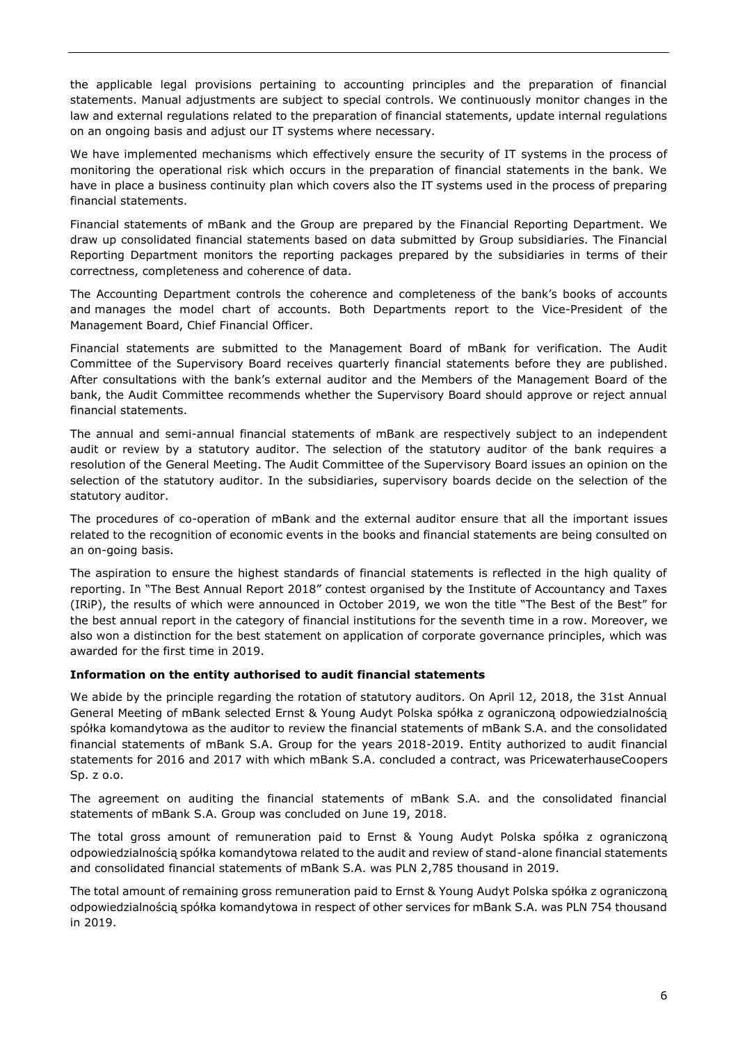the applicable legal provisions pertaining to accounting principles and the preparation of financial statements. Manual adjustments are subject to special controls. We continuously monitor changes in the law and external regulations related to the preparation of financial statements, update internal regulations on an ongoing basis and adjust our IT systems where necessary.

We have implemented mechanisms which effectively ensure the security of IT systems in the process of monitoring the operational risk which occurs in the preparation of financial statements in the bank. We have in place a business continuity plan which covers also the IT systems used in the process of preparing financial statements.

Financial statements of mBank and the Group are prepared by the Financial Reporting Department. We draw up consolidated financial statements based on data submitted by Group subsidiaries. The Financial Reporting Department monitors the reporting packages prepared by the subsidiaries in terms of their correctness, completeness and coherence of data.

The Accounting Department controls the coherence and completeness of the bank's books of accounts and manages the model chart of accounts. Both Departments report to the Vice-President of the Management Board, Chief Financial Officer.

Financial statements are submitted to the Management Board of mBank for verification. The Audit Committee of the Supervisory Board receives quarterly financial statements before they are published. After consultations with the bank's external auditor and the Members of the Management Board of the bank, the Audit Committee recommends whether the Supervisory Board should approve or reject annual financial statements.

The annual and semi-annual financial statements of mBank are respectively subject to an independent audit or review by a statutory auditor. The selection of the statutory auditor of the bank requires a resolution of the General Meeting. The Audit Committee of the Supervisory Board issues an opinion on the selection of the statutory auditor. In the subsidiaries, supervisory boards decide on the selection of the statutory auditor.

The procedures of co-operation of mBank and the external auditor ensure that all the important issues related to the recognition of economic events in the books and financial statements are being consulted on an on-going basis.

The aspiration to ensure the highest standards of financial statements is reflected in the high quality of reporting. In "The Best Annual Report 2018" contest organised by the Institute of Accountancy and Taxes (IRiP), the results of which were announced in October 2019, we won the title "The Best of the Best" for the best annual report in the category of financial institutions for the seventh time in a row. Moreover, we also won a distinction for the best statement on application of corporate governance principles, which was awarded for the first time in 2019.

## <span id="page-5-0"></span>**Information on the entity authorised to audit financial statements**

We abide by the principle regarding the rotation of statutory auditors. On April 12, 2018, the 31st Annual General Meeting of mBank selected Ernst & Young Audyt Polska spółka z ograniczoną odpowiedzialnością spółka komandytowa as the auditor to review the financial statements of mBank S.A. and the consolidated financial statements of mBank S.A. Group for the years 2018-2019. Entity authorized to audit financial statements for 2016 and 2017 with which mBank S.A. concluded a contract, was PricewaterhauseCoopers Sp. z o.o.

The agreement on auditing the financial statements of mBank S.A. and the consolidated financial statements of mBank S.A. Group was concluded on June 19, 2018.

The total gross amount of remuneration paid to Ernst & Young Audyt Polska spółka z ograniczoną odpowiedzialnością spółka komandytowa related to the audit and review of stand-alone financial statements and consolidated financial statements of mBank S.A. was PLN 2,785 thousand in 2019.

The total amount of remaining gross remuneration paid to Ernst & Young Audyt Polska spółka z ograniczoną odpowiedzialnością spółka komandytowa in respect of other services for mBank S.A. was PLN 754 thousand in 2019.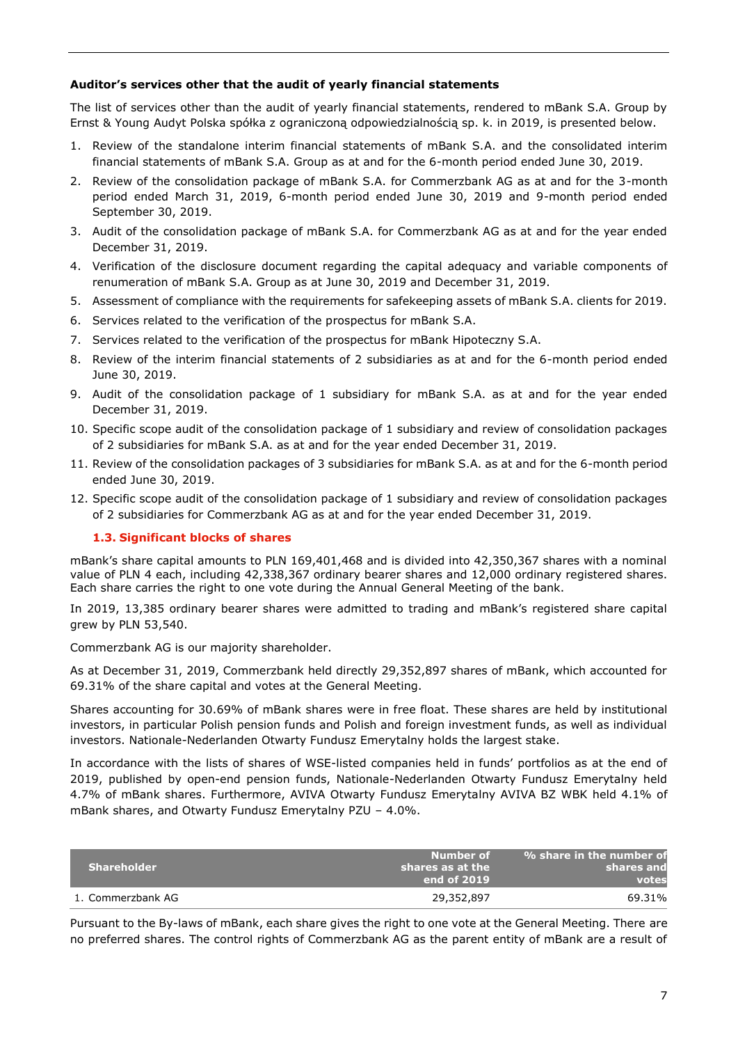## <span id="page-6-0"></span>**Auditor's services other that the audit of yearly financial statements**

The list of services other than the audit of yearly financial statements, rendered to mBank S.A. Group by Ernst & Young Audyt Polska spółka z ograniczoną odpowiedzialnością sp. k. in 2019, is presented below.

- 1. Review of the standalone interim financial statements of mBank S.A. and the consolidated interim financial statements of mBank S.A. Group as at and for the 6-month period ended June 30, 2019.
- 2. Review of the consolidation package of mBank S.A. for Commerzbank AG as at and for the 3-month period ended March 31, 2019, 6-month period ended June 30, 2019 and 9-month period ended September 30, 2019.
- 3. Audit of the consolidation package of mBank S.A. for Commerzbank AG as at and for the year ended December 31, 2019.
- 4. Verification of the disclosure document regarding the capital adequacy and variable components of renumeration of mBank S.A. Group as at June 30, 2019 and December 31, 2019.
- 5. Assessment of compliance with the requirements for safekeeping assets of mBank S.A. clients for 2019.
- 6. Services related to the verification of the prospectus for mBank S.A.
- 7. Services related to the verification of the prospectus for mBank Hipoteczny S.A.
- 8. Review of the interim financial statements of 2 subsidiaries as at and for the 6-month period ended June 30, 2019.
- 9. Audit of the consolidation package of 1 subsidiary for mBank S.A. as at and for the year ended December 31, 2019.
- 10. Specific scope audit of the consolidation package of 1 subsidiary and review of consolidation packages of 2 subsidiaries for mBank S.A. as at and for the year ended December 31, 2019.
- 11. Review of the consolidation packages of 3 subsidiaries for mBank S.A. as at and for the 6-month period ended June 30, 2019.
- 12. Specific scope audit of the consolidation package of 1 subsidiary and review of consolidation packages of 2 subsidiaries for Commerzbank AG as at and for the year ended December 31, 2019.

## <span id="page-6-1"></span>**1.3. Significant blocks of shares**

mBank's share capital amounts to PLN 169,401,468 and is divided into 42,350,367 shares with a nominal value of PLN 4 each, including 42,338,367 ordinary bearer shares and 12,000 ordinary registered shares. Each share carries the right to one vote during the Annual General Meeting of the bank.

In 2019, 13,385 ordinary bearer shares were admitted to trading and mBank's registered share capital grew by PLN 53,540.

Commerzbank AG is our majority shareholder.

As at December 31, 2019, Commerzbank held directly 29,352,897 shares of mBank, which accounted for 69.31% of the share capital and votes at the General Meeting.

Shares accounting for 30.69% of mBank shares were in free float. These shares are held by institutional investors, in particular Polish pension funds and Polish and foreign investment funds, as well as individual investors. Nationale-Nederlanden Otwarty Fundusz Emerytalny holds the largest stake.

In accordance with the lists of shares of WSE-listed companies held in funds' portfolios as at the end of 2019, published by open-end pension funds, Nationale-Nederlanden Otwarty Fundusz Emerytalny held 4.7% of mBank shares. Furthermore, AVIVA Otwarty Fundusz Emerytalny AVIVA BZ WBK held 4.1% of mBank shares, and Otwarty Fundusz Emerytalny PZU – 4.0%.

| <b>Shareholder</b> | Number of<br>$\blacksquare$ shares as at the $\blacksquare$<br>end of 2019 | % share in the number of<br>shares and<br>votes |
|--------------------|----------------------------------------------------------------------------|-------------------------------------------------|
| 1. Commerzbank AG  | 29,352,897                                                                 | 69.31%                                          |

Pursuant to the By-laws of mBank, each share gives the right to one vote at the General Meeting. There are no preferred shares. The control rights of Commerzbank AG as the parent entity of mBank are a result of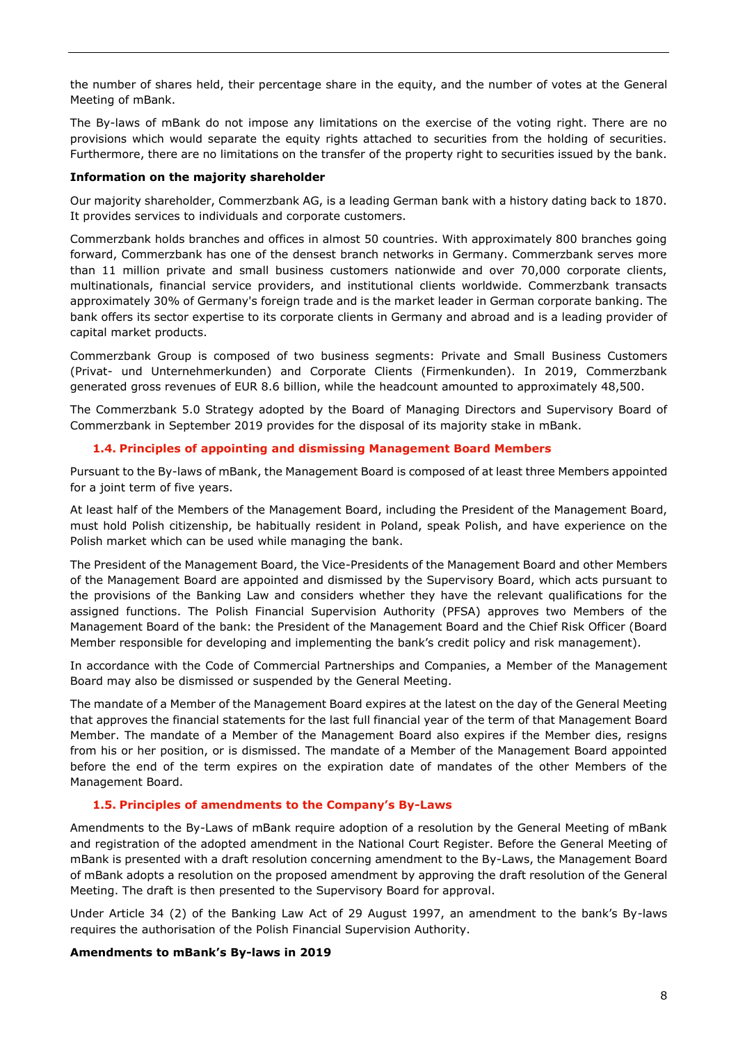the number of shares held, their percentage share in the equity, and the number of votes at the General Meeting of mBank.

The By-laws of mBank do not impose any limitations on the exercise of the voting right. There are no provisions which would separate the equity rights attached to securities from the holding of securities. Furthermore, there are no limitations on the transfer of the property right to securities issued by the bank.

## <span id="page-7-0"></span>**Information on the majority shareholder**

Our majority shareholder, Commerzbank AG, is a leading German bank with a history dating back to 1870. It provides services to individuals and corporate customers.

Commerzbank holds branches and offices in almost 50 countries. With approximately 800 branches going forward, Commerzbank has one of the densest branch networks in Germany. Commerzbank serves more than 11 million private and small business customers nationwide and over 70,000 corporate clients, multinationals, financial service providers, and institutional clients worldwide. Commerzbank transacts approximately 30% of Germany's foreign trade and is the market leader in German corporate banking. The bank offers its sector expertise to its corporate clients in Germany and abroad and is a leading provider of capital market products.

Commerzbank Group is composed of two business segments: Private and Small Business Customers (Privat- und Unternehmerkunden) and Corporate Clients (Firmenkunden). In 2019, Commerzbank generated gross revenues of EUR 8.6 billion, while the headcount amounted to approximately 48,500.

The Commerzbank 5.0 Strategy adopted by the Board of Managing Directors and Supervisory Board of Commerzbank in September 2019 provides for the disposal of its majority stake in mBank.

#### **1.4. Principles of appointing and dismissing Management Board Members**

<span id="page-7-1"></span>Pursuant to the By-laws of mBank, the Management Board is composed of at least three Members appointed for a joint term of five years.

At least half of the Members of the Management Board, including the President of the Management Board, must hold Polish citizenship, be habitually resident in Poland, speak Polish, and have experience on the Polish market which can be used while managing the bank.

The President of the Management Board, the Vice-Presidents of the Management Board and other Members of the Management Board are appointed and dismissed by the Supervisory Board, which acts pursuant to the provisions of the Banking Law and considers whether they have the relevant qualifications for the assigned functions. The Polish Financial Supervision Authority (PFSA) approves two Members of the Management Board of the bank: the President of the Management Board and the Chief Risk Officer (Board Member responsible for developing and implementing the bank's credit policy and risk management).

In accordance with the Code of Commercial Partnerships and Companies, a Member of the Management Board may also be dismissed or suspended by the General Meeting.

The mandate of a Member of the Management Board expires at the latest on the day of the General Meeting that approves the financial statements for the last full financial year of the term of that Management Board Member. The mandate of a Member of the Management Board also expires if the Member dies, resigns from his or her position, or is dismissed. The mandate of a Member of the Management Board appointed before the end of the term expires on the expiration date of mandates of the other Members of the Management Board.

## **1.5. Principles of amendments to the Company's By-Laws**

<span id="page-7-2"></span>Amendments to the By-Laws of mBank require adoption of a resolution by the General Meeting of mBank and registration of the adopted amendment in the National Court Register. Before the General Meeting of mBank is presented with a draft resolution concerning amendment to the By-Laws, the Management Board of mBank adopts a resolution on the proposed amendment by approving the draft resolution of the General Meeting. The draft is then presented to the Supervisory Board for approval.

Under Article 34 (2) of the Banking Law Act of 29 August 1997, an amendment to the bank's By-laws requires the authorisation of the Polish Financial Supervision Authority.

#### **Amendments to mBank's By-laws in 2019**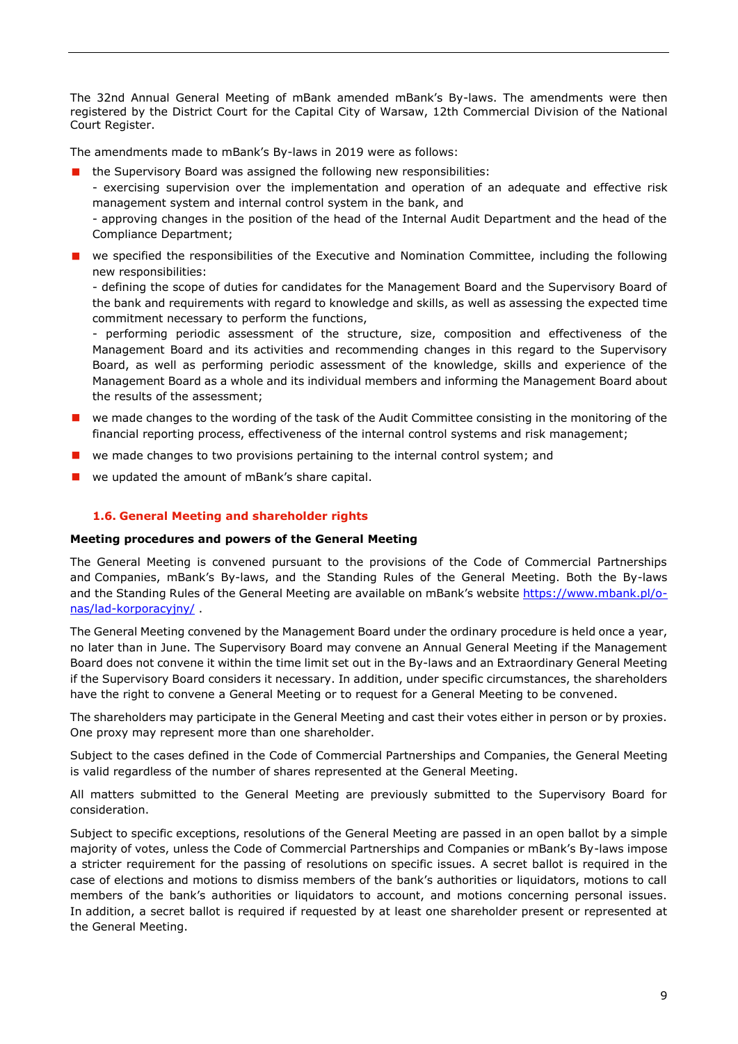The 32nd Annual General Meeting of mBank amended mBank's By-laws. The amendments were then registered by the District Court for the Capital City of Warsaw, 12th Commercial Division of the National Court Register.

The amendments made to mBank's By-laws in 2019 were as follows:

■ the Supervisory Board was assigned the following new responsibilities:

- exercising supervision over the implementation and operation of an adequate and effective risk management system and internal control system in the bank, and

- approving changes in the position of the head of the Internal Audit Department and the head of the Compliance Department;

**E** we specified the responsibilities of the Executive and Nomination Committee, including the following new responsibilities:

- defining the scope of duties for candidates for the Management Board and the Supervisory Board of the bank and requirements with regard to knowledge and skills, as well as assessing the expected time commitment necessary to perform the functions,

- performing periodic assessment of the structure, size, composition and effectiveness of the Management Board and its activities and recommending changes in this regard to the Supervisory Board, as well as performing periodic assessment of the knowledge, skills and experience of the Management Board as a whole and its individual members and informing the Management Board about the results of the assessment;

- **U** we made changes to the wording of the task of the Audit Committee consisting in the monitoring of the financial reporting process, effectiveness of the internal control systems and risk management;
- we made changes to two provisions pertaining to the internal control system; and
- we updated the amount of mBank's share capital.

## **1.6. General Meeting and shareholder rights**

#### <span id="page-8-1"></span><span id="page-8-0"></span>**Meeting procedures and powers of the General Meeting**

The General Meeting is convened pursuant to the provisions of the Code of Commercial Partnerships and Companies, mBank's By-laws, and the Standing Rules of the General Meeting. Both the By-laws and the Standing Rules of the General Meeting are available on mBank's website [https://www.mbank.pl/o](https://www.mbank.pl/o-nas/lad-korporacyjny/)[nas/lad-korporacyjny/](https://www.mbank.pl/o-nas/lad-korporacyjny/) .

The General Meeting convened by the Management Board under the ordinary procedure is held once a year, no later than in June. The Supervisory Board may convene an Annual General Meeting if the Management Board does not convene it within the time limit set out in the By-laws and an Extraordinary General Meeting if the Supervisory Board considers it necessary. In addition, under specific circumstances, the shareholders have the right to convene a General Meeting or to request for a General Meeting to be convened.

The shareholders may participate in the General Meeting and cast their votes either in person or by proxies. One proxy may represent more than one shareholder.

Subject to the cases defined in the Code of Commercial Partnerships and Companies, the General Meeting is valid regardless of the number of shares represented at the General Meeting.

All matters submitted to the General Meeting are previously submitted to the Supervisory Board for consideration.

Subject to specific exceptions, resolutions of the General Meeting are passed in an open ballot by a simple majority of votes, unless the Code of Commercial Partnerships and Companies or mBank's By-laws impose a stricter requirement for the passing of resolutions on specific issues. A secret ballot is required in the case of elections and motions to dismiss members of the bank's authorities or liquidators, motions to call members of the bank's authorities or liquidators to account, and motions concerning personal issues. In addition, a secret ballot is required if requested by at least one shareholder present or represented at the General Meeting.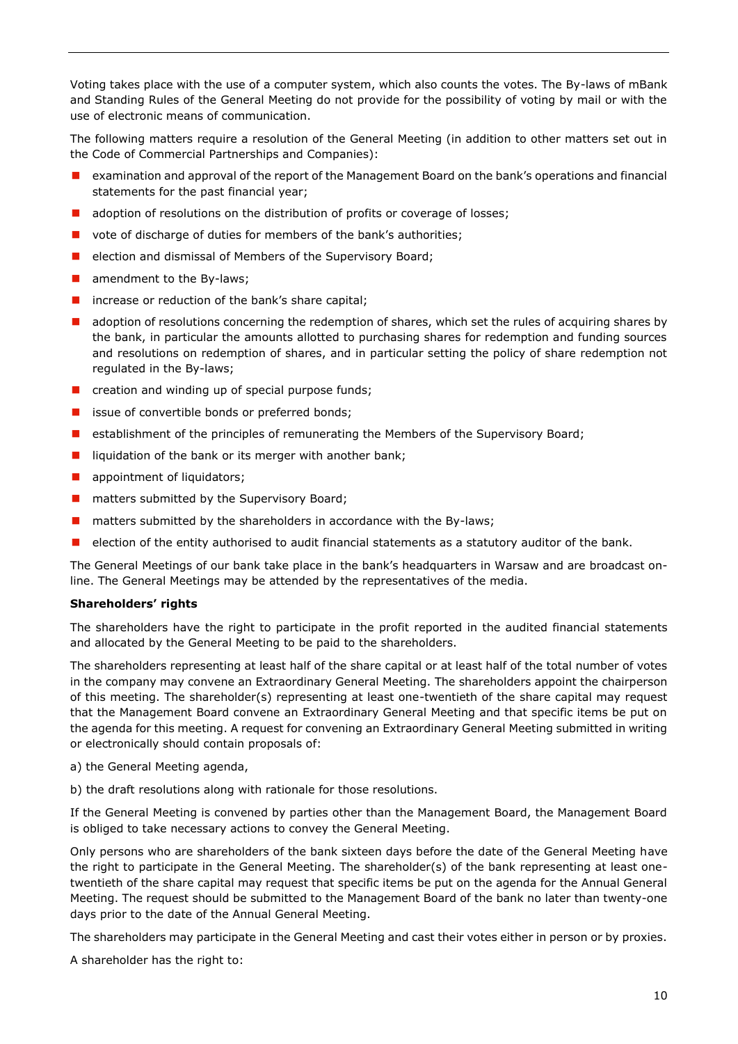Voting takes place with the use of a computer system, which also counts the votes. The By-laws of mBank and Standing Rules of the General Meeting do not provide for the possibility of voting by mail or with the use of electronic means of communication.

The following matters require a resolution of the General Meeting (in addition to other matters set out in the Code of Commercial Partnerships and Companies):

- **EXAM** examination and approval of the report of the Management Board on the bank's operations and financial statements for the past financial year;
- **a** adoption of resolutions on the distribution of profits or coverage of losses;
- vote of discharge of duties for members of the bank's authorities;
- election and dismissal of Members of the Supervisory Board;
- **amendment to the By-laws;**
- $\blacksquare$  increase or reduction of the bank's share capital;
- **a** adoption of resolutions concerning the redemption of shares, which set the rules of acquiring shares by the bank, in particular the amounts allotted to purchasing shares for redemption and funding sources and resolutions on redemption of shares, and in particular setting the policy of share redemption not regulated in the By-laws;
- $\Box$  creation and winding up of special purpose funds;
- $\blacksquare$  issue of convertible bonds or preferred bonds;
- **E** establishment of the principles of remunerating the Members of the Supervisory Board;
- liquidation of the bank or its merger with another bank;
- **a** appointment of liquidators;
- **n** matters submitted by the Supervisory Board;
- $\blacksquare$  matters submitted by the shareholders in accordance with the By-laws;
- $\blacksquare$  election of the entity authorised to audit financial statements as a statutory auditor of the bank.

The General Meetings of our bank take place in the bank's headquarters in Warsaw and are broadcast online. The General Meetings may be attended by the representatives of the media.

#### <span id="page-9-0"></span>**Shareholders' rights**

The shareholders have the right to participate in the profit reported in the audited financial statements and allocated by the General Meeting to be paid to the shareholders.

The shareholders representing at least half of the share capital or at least half of the total number of votes in the company may convene an Extraordinary General Meeting. The shareholders appoint the chairperson of this meeting. The shareholder(s) representing at least one-twentieth of the share capital may request that the Management Board convene an Extraordinary General Meeting and that specific items be put on the agenda for this meeting. A request for convening an Extraordinary General Meeting submitted in writing or electronically should contain proposals of:

- a) the General Meeting agenda,
- b) the draft resolutions along with rationale for those resolutions.

If the General Meeting is convened by parties other than the Management Board, the Management Board is obliged to take necessary actions to convey the General Meeting.

Only persons who are shareholders of the bank sixteen days before the date of the General Meeting have the right to participate in the General Meeting. The shareholder(s) of the bank representing at least onetwentieth of the share capital may request that specific items be put on the agenda for the Annual General Meeting. The request should be submitted to the Management Board of the bank no later than twenty-one days prior to the date of the Annual General Meeting.

The shareholders may participate in the General Meeting and cast their votes either in person or by proxies.

A shareholder has the right to: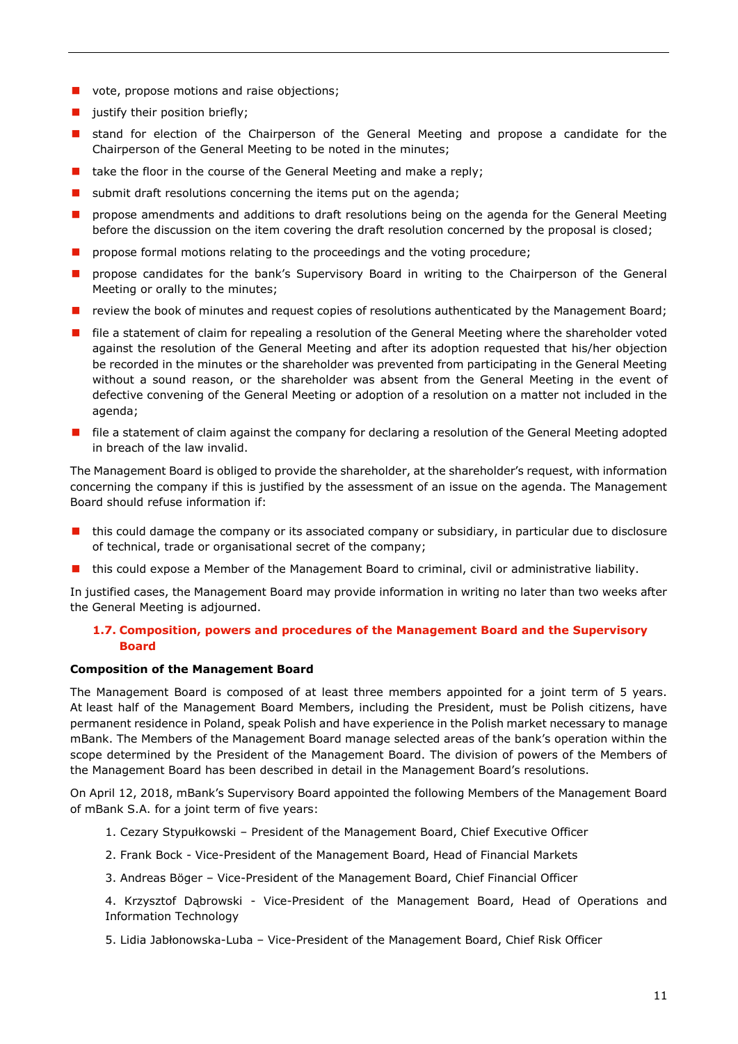- vote, propose motions and raise objections;
- $\blacksquare$  justify their position briefly;
- **E** stand for election of the Chairperson of the General Meeting and propose a candidate for the Chairperson of the General Meeting to be noted in the minutes;
- $\blacksquare$  take the floor in the course of the General Meeting and make a reply;
- $\blacksquare$  submit draft resolutions concerning the items put on the agenda;
- **P** propose amendments and additions to draft resolutions being on the agenda for the General Meeting before the discussion on the item covering the draft resolution concerned by the proposal is closed;
- **P** propose formal motions relating to the proceedings and the voting procedure;
- **n** propose candidates for the bank's Supervisory Board in writing to the Chairperson of the General Meeting or orally to the minutes;
- **T** review the book of minutes and request copies of resolutions authenticated by the Management Board;
- **F** file a statement of claim for repealing a resolution of the General Meeting where the shareholder voted against the resolution of the General Meeting and after its adoption requested that his/her objection be recorded in the minutes or the shareholder was prevented from participating in the General Meeting without a sound reason, or the shareholder was absent from the General Meeting in the event of defective convening of the General Meeting or adoption of a resolution on a matter not included in the agenda;
- **file a statement of claim against the company for declaring a resolution of the General Meeting adopted** in breach of the law invalid.

The Management Board is obliged to provide the shareholder, at the shareholder's request, with information concerning the company if this is justified by the assessment of an issue on the agenda. The Management Board should refuse information if:

- $\blacksquare$  this could damage the company or its associated company or subsidiary, in particular due to disclosure of technical, trade or organisational secret of the company;
- **this could expose a Member of the Management Board to criminal, civil or administrative liability.**

In justified cases, the Management Board may provide information in writing no later than two weeks after the General Meeting is adjourned.

## <span id="page-10-0"></span>**1.7. Composition, powers and procedures of the Management Board and the Supervisory Board**

#### <span id="page-10-1"></span>**Composition of the Management Board**

The Management Board is composed of at least three members appointed for a joint term of 5 years. At least half of the Management Board Members, including the President, must be Polish citizens, have permanent residence in Poland, speak Polish and have experience in the Polish market necessary to manage mBank. The Members of the Management Board manage selected areas of the bank's operation within the scope determined by the President of the Management Board. The division of powers of the Members of the Management Board has been described in detail in the Management Board's resolutions.

On April 12, 2018, mBank's Supervisory Board appointed the following Members of the Management Board of mBank S.A. for a joint term of five years:

- 1. Cezary Stypułkowski President of the Management Board, Chief Executive Officer
- 2. Frank Bock Vice-President of the Management Board, Head of Financial Markets
- 3. Andreas Böger Vice-President of the Management Board, Chief Financial Officer

4. Krzysztof Dąbrowski - Vice-President of the Management Board, Head of Operations and Information Technology

5. Lidia Jabłonowska-Luba – Vice-President of the Management Board, Chief Risk Officer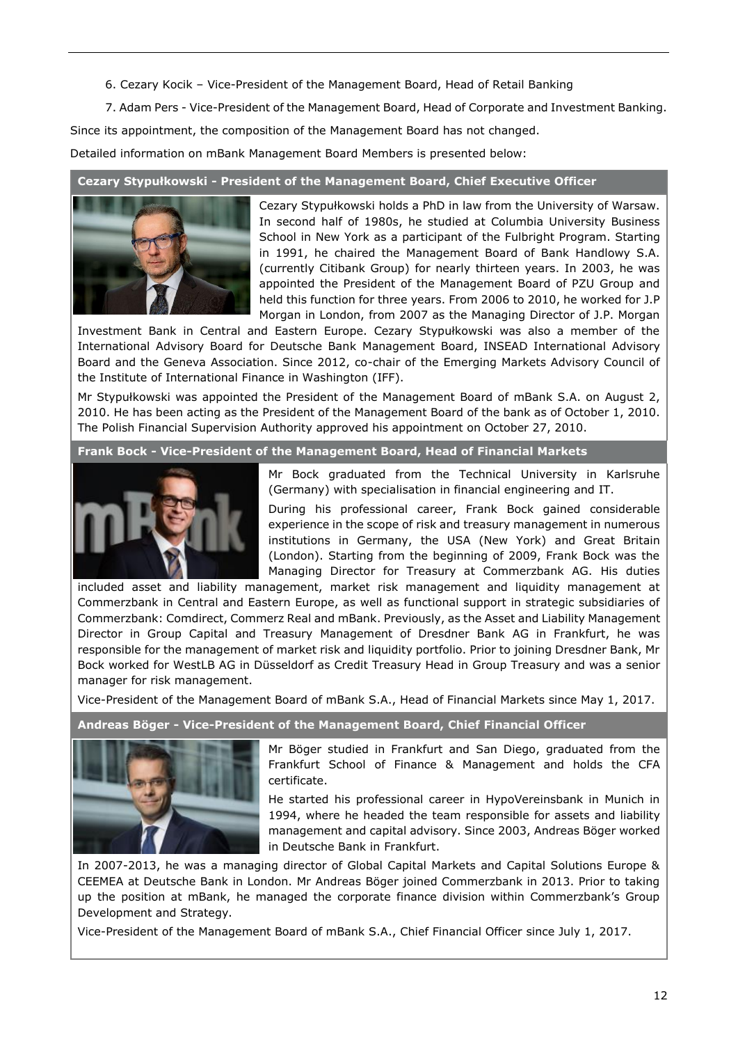6. Cezary Kocik – Vice-President of the Management Board, Head of Retail Banking

7. Adam Pers - Vice-President of the Management Board, Head of Corporate and Investment Banking.

Since its appointment, the composition of the Management Board has not changed.

Detailed information on mBank Management Board Members is presented below:

#### **Cezary Stypułkowski - President of the Management Board, Chief Executive Officer**



Cezary Stypułkowski holds a PhD in law from the University of Warsaw. In second half of 1980s, he studied at Columbia University Business School in New York as a participant of the Fulbright Program. Starting in 1991, he chaired the Management Board of Bank Handlowy S.A. (currently Citibank Group) for nearly thirteen years. In 2003, he was appointed the President of the Management Board of PZU Group and held this function for three years. From 2006 to 2010, he worked for J.P Morgan in London, from 2007 as the Managing Director of J.P. Morgan

Investment Bank in Central and Eastern Europe. Cezary Stypułkowski was also a member of the International Advisory Board for Deutsche Bank Management Board, INSEAD International Advisory Board and the Geneva Association. Since 2012, co-chair of the Emerging Markets Advisory Council of the Institute of International Finance in Washington (IFF).

Mr Stypułkowski was appointed the President of the Management Board of mBank S.A. on August 2, 2010. He has been acting as the President of the Management Board of the bank as of October 1, 2010. The Polish Financial Supervision Authority approved his appointment on October 27, 2010.

**Frank Bock - Vice-President of the Management Board, Head of Financial Markets**



Mr Bock graduated from the Technical University in Karlsruhe (Germany) with specialisation in financial engineering and IT.

During his professional career, Frank Bock gained considerable experience in the scope of risk and treasury management in numerous institutions in Germany, the USA (New York) and Great Britain (London). Starting from the beginning of 2009, Frank Bock was the Managing Director for Treasury at Commerzbank AG. His duties

included asset and liability management, market risk management and liquidity management at Commerzbank in Central and Eastern Europe, as well as functional support in strategic subsidiaries of Commerzbank: Comdirect, Commerz Real and mBank. Previously, as the Asset and Liability Management Director in Group Capital and Treasury Management of Dresdner Bank AG in Frankfurt, he was responsible for the management of market risk and liquidity portfolio. Prior to joining Dresdner Bank, Mr Bock worked for WestLB AG in Düsseldorf as Credit Treasury Head in Group Treasury and was a senior manager for risk management.

Vice-President of the Management Board of mBank S.A., Head of Financial Markets since May 1, 2017.

**Andreas Böger - Vice-President of the Management Board, Chief Financial Officer**



Mr Böger studied in Frankfurt and San Diego, graduated from the Frankfurt School of Finance & Management and holds the CFA certificate.

He started his professional career in HypoVereinsbank in Munich in 1994, where he headed the team responsible for assets and liability management and capital advisory. Since 2003, Andreas Böger worked in Deutsche Bank in Frankfurt.

In 2007-2013, he was a managing director of Global Capital Markets and Capital Solutions Europe & CEEMEA at Deutsche Bank in London. Mr Andreas Böger joined Commerzbank in 2013. Prior to taking up the position at mBank, he managed the corporate finance division within Commerzbank's Group Development and Strategy.

Vice-President of the Management Board of mBank S.A., Chief Financial Officer since July 1, 2017.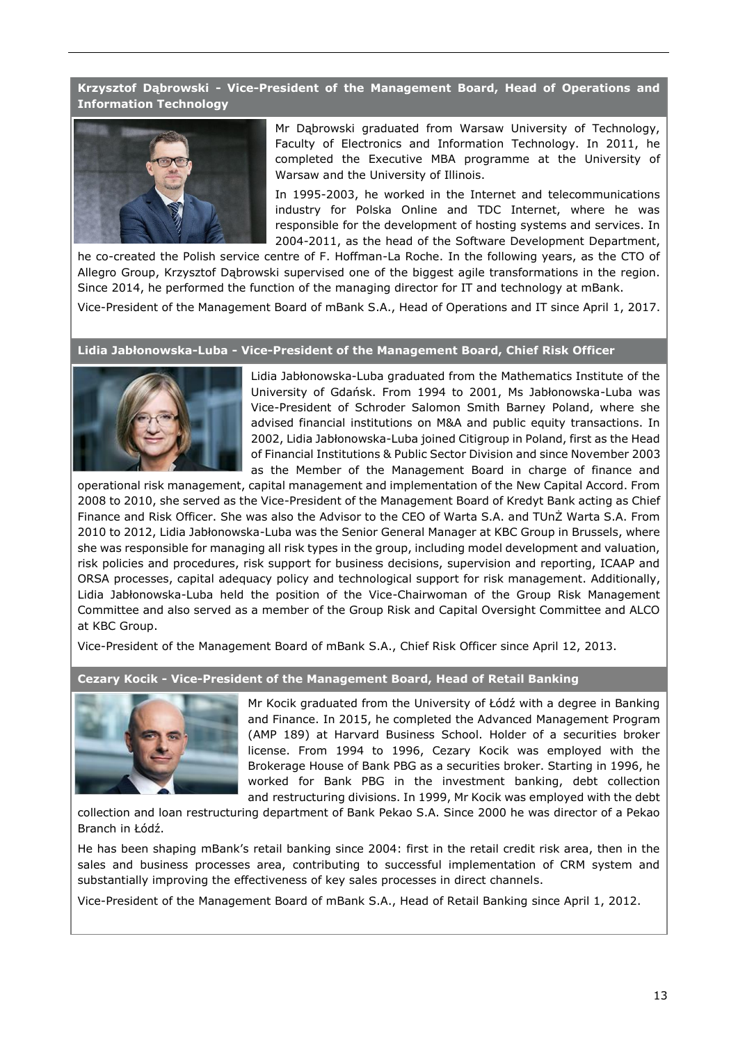## **Krzysztof Dąbrowski - Vice-President of the Management Board, Head of Operations and Information Technology**



Mr Dąbrowski graduated from Warsaw University of Technology, Faculty of Electronics and Information Technology. In 2011, he completed the Executive MBA programme at the University of Warsaw and the University of Illinois.

In 1995-2003, he worked in the Internet and telecommunications industry for Polska Online and TDC Internet, where he was responsible for the development of hosting systems and services. In 2004-2011, as the head of the Software Development Department,

he co-created the Polish service centre of F. Hoffman-La Roche. In the following years, as the CTO of Allegro Group, Krzysztof Dąbrowski supervised one of the biggest agile transformations in the region. Since 2014, he performed the function of the managing director for IT and technology at mBank.

Vice-President of the Management Board of mBank S.A., Head of Operations and IT since April 1, 2017.

#### **Lidia Jabłonowska-Luba - Vice-President of the Management Board, Chief Risk Officer**



Lidia Jabłonowska-Luba graduated from the Mathematics Institute of the University of Gdańsk. From 1994 to 2001, Ms Jabłonowska-Luba was Vice-President of Schroder Salomon Smith Barney Poland, where she advised financial institutions on M&A and public equity transactions. In 2002, Lidia Jabłonowska-Luba joined Citigroup in Poland, first as the Head of Financial Institutions & Public Sector Division and since November 2003 as the Member of the Management Board in charge of finance and

operational risk management, capital management and implementation of the New Capital Accord. From 2008 to 2010, she served as the Vice-President of the Management Board of Kredyt Bank acting as Chief Finance and Risk Officer. She was also the Advisor to the CEO of Warta S.A. and TUnŻ Warta S.A. From 2010 to 2012, Lidia Jabłonowska-Luba was the Senior General Manager at KBC Group in Brussels, where she was responsible for managing all risk types in the group, including model development and valuation, risk policies and procedures, risk support for business decisions, supervision and reporting, ICAAP and ORSA processes, capital adequacy policy and technological support for risk management. Additionally, Lidia Jabłonowska-Luba held the position of the Vice-Chairwoman of the Group Risk Management Committee and also served as a member of the Group Risk and Capital Oversight Committee and ALCO at KBC Group.

Vice-President of the Management Board of mBank S.A., Chief Risk Officer since April 12, 2013.

**Cezary Kocik - Vice-President of the Management Board, Head of Retail Banking**



Mr Kocik graduated from the University of Łódź with a degree in Banking and Finance. In 2015, he completed the Advanced Management Program (AMP 189) at Harvard Business School. Holder of a securities broker license. From 1994 to 1996, Cezary Kocik was employed with the Brokerage House of Bank PBG as a securities broker. Starting in 1996, he worked for Bank PBG in the investment banking, debt collection and restructuring divisions. In 1999, Mr Kocik was employed with the debt

collection and loan restructuring department of Bank Pekao S.A. Since 2000 he was director of a Pekao Branch in Łódź.

He has been shaping mBank's retail banking since 2004: first in the retail credit risk area, then in the sales and business processes area, contributing to successful implementation of CRM system and substantially improving the effectiveness of key sales processes in direct channels.

Vice-President of the Management Board of mBank S.A., Head of Retail Banking since April 1, 2012.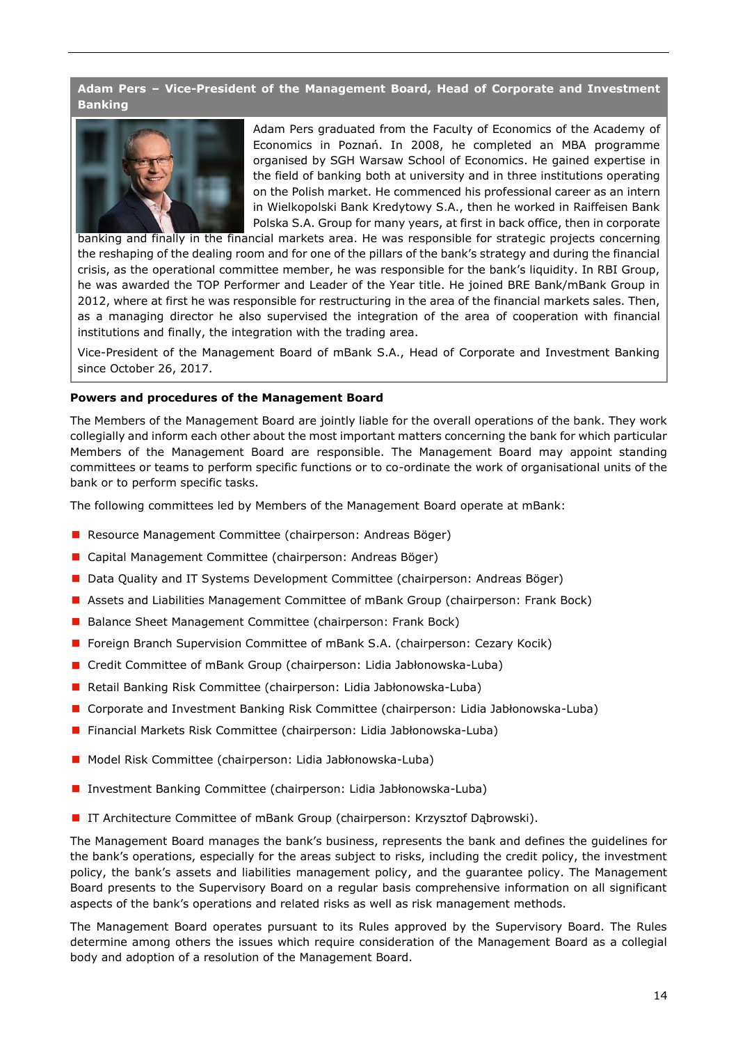# **Adam Pers – Vice-President of the Management Board, Head of Corporate and Investment Banking**



Adam Pers graduated from the Faculty of Economics of the Academy of Economics in Poznań. In 2008, he completed an MBA programme organised by SGH Warsaw School of Economics. He gained expertise in the field of banking both at university and in three institutions operating on the Polish market. He commenced his professional career as an intern in Wielkopolski Bank Kredytowy S.A., then he worked in Raiffeisen Bank Polska S.A. Group for many years, at first in back office, then in corporate

banking and finally in the financial markets area. He was responsible for strategic projects concerning the reshaping of the dealing room and for one of the pillars of the bank's strategy and during the financial crisis, as the operational committee member, he was responsible for the bank's liquidity. In RBI Group, he was awarded the TOP Performer and Leader of the Year title. He joined BRE Bank/mBank Group in 2012, where at first he was responsible for restructuring in the area of the financial markets sales. Then, as a managing director he also supervised the integration of the area of cooperation with financial institutions and finally, the integration with the trading area.

Vice-President of the Management Board of mBank S.A., Head of Corporate and Investment Banking since October 26, 2017.

#### <span id="page-13-0"></span>**Powers and procedures of the Management Board**

The Members of the Management Board are jointly liable for the overall operations of the bank. They work collegially and inform each other about the most important matters concerning the bank for which particular Members of the Management Board are responsible. The Management Board may appoint standing committees or teams to perform specific functions or to co-ordinate the work of organisational units of the bank or to perform specific tasks.

The following committees led by Members of the Management Board operate at mBank:

- Resource Management Committee (chairperson: Andreas Böger)
- Capital Management Committee (chairperson: Andreas Böger)
- **Data Quality and IT Systems Development Committee (chairperson: Andreas Böger)**
- **Assets and Liabilities Management Committee of mBank Group (chairperson: Frank Bock)**
- Balance Sheet Management Committee (chairperson: Frank Bock)
- **F** Foreign Branch Supervision Committee of mBank S.A. (chairperson: Cezary Kocik)
- Credit Committee of mBank Group (chairperson: Lidia Jabłonowska-Luba)
- Retail Banking Risk Committee (chairperson: Lidia Jabłonowska-Luba)
- Corporate and Investment Banking Risk Committee (chairperson: Lidia Jabłonowska-Luba)
- Financial Markets Risk Committee (chairperson: Lidia Jabłonowska-Luba)
- Model Risk Committee (chairperson: Lidia Jabłonowska-Luba)
- Investment Banking Committee (chairperson: Lidia Jabłonowska-Luba)
- **I** IT Architecture Committee of mBank Group (chairperson: Krzysztof Dąbrowski).

The Management Board manages the bank's business, represents the bank and defines the guidelines for the bank's operations, especially for the areas subject to risks, including the credit policy, the investment policy, the bank's assets and liabilities management policy, and the guarantee policy. The Management Board presents to the Supervisory Board on a regular basis comprehensive information on all significant aspects of the bank's operations and related risks as well as risk management methods.

The Management Board operates pursuant to its Rules approved by the Supervisory Board. The Rules determine among others the issues which require consideration of the Management Board as a collegial body and adoption of a resolution of the Management Board.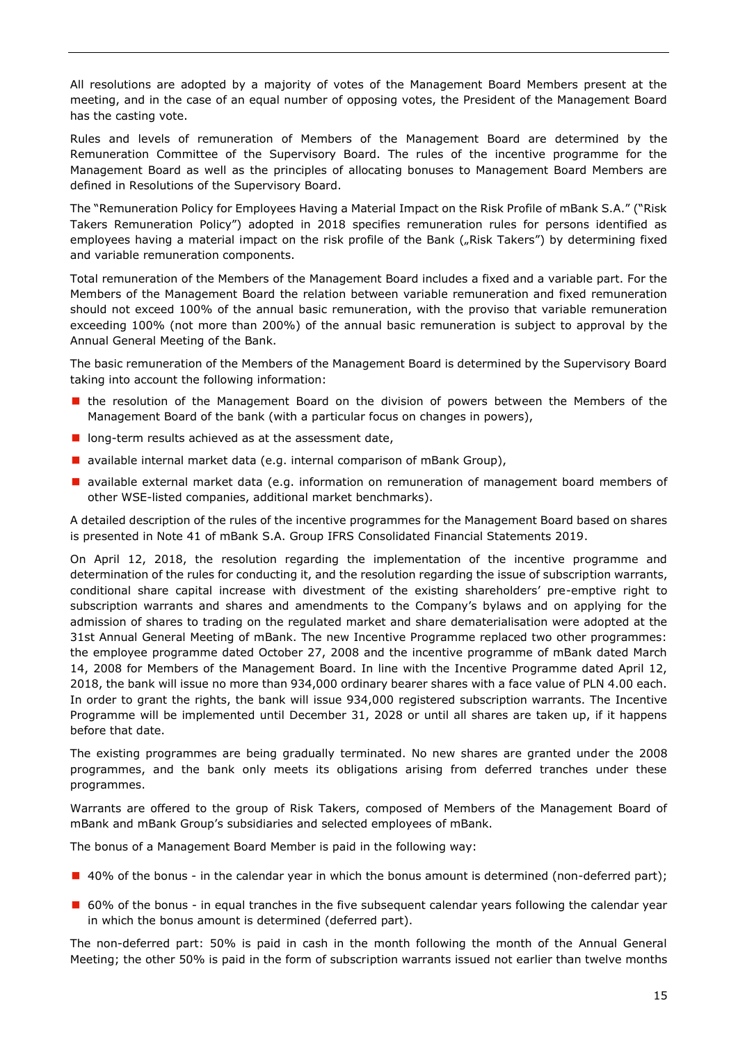All resolutions are adopted by a majority of votes of the Management Board Members present at the meeting, and in the case of an equal number of opposing votes, the President of the Management Board has the casting vote.

Rules and levels of remuneration of Members of the Management Board are determined by the Remuneration Committee of the Supervisory Board. The rules of the incentive programme for the Management Board as well as the principles of allocating bonuses to Management Board Members are defined in Resolutions of the Supervisory Board.

The "Remuneration Policy for Employees Having a Material Impact on the Risk Profile of mBank S.A." ("Risk Takers Remuneration Policy") adopted in 2018 specifies remuneration rules for persons identified as employees having a material impact on the risk profile of the Bank ("Risk Takers") by determining fixed and variable remuneration components.

Total remuneration of the Members of the Management Board includes a fixed and a variable part. For the Members of the Management Board the relation between variable remuneration and fixed remuneration should not exceed 100% of the annual basic remuneration, with the proviso that variable remuneration exceeding 100% (not more than 200%) of the annual basic remuneration is subject to approval by the Annual General Meeting of the Bank.

The basic remuneration of the Members of the Management Board is determined by the Supervisory Board taking into account the following information:

- **n** the resolution of the Management Board on the division of powers between the Members of the Management Board of the bank (with a particular focus on changes in powers),
- $\blacksquare$  long-term results achieved as at the assessment date,
- **a** available internal market data (e.g. internal comparison of mBank Group),
- **a** available external market data (e.g. information on remuneration of management board members of other WSE-listed companies, additional market benchmarks).

A detailed description of the rules of the incentive programmes for the Management Board based on shares is presented in Note 41 of mBank S.A. Group IFRS Consolidated Financial Statements 2019.

On April 12, 2018, the resolution regarding the implementation of the incentive programme and determination of the rules for conducting it, and the resolution regarding the issue of subscription warrants, conditional share capital increase with divestment of the existing shareholders' pre-emptive right to subscription warrants and shares and amendments to the Company's bylaws and on applying for the admission of shares to trading on the regulated market and share dematerialisation were adopted at the 31st Annual General Meeting of mBank. The new Incentive Programme replaced two other programmes: the employee programme dated October 27, 2008 and the incentive programme of mBank dated March 14, 2008 for Members of the Management Board. In line with the Incentive Programme dated April 12, 2018, the bank will issue no more than 934,000 ordinary bearer shares with a face value of PLN 4.00 each. In order to grant the rights, the bank will issue 934,000 registered subscription warrants. The Incentive Programme will be implemented until December 31, 2028 or until all shares are taken up, if it happens before that date.

The existing programmes are being gradually terminated. No new shares are granted under the 2008 programmes, and the bank only meets its obligations arising from deferred tranches under these programmes.

Warrants are offered to the group of Risk Takers, composed of Members of the Management Board of mBank and mBank Group's subsidiaries and selected employees of mBank.

The bonus of a Management Board Member is paid in the following way:

- 40% of the bonus in the calendar year in which the bonus amount is determined (non-deferred part);
- **60%** of the bonus in equal tranches in the five subsequent calendar years following the calendar year in which the bonus amount is determined (deferred part).

The non-deferred part: 50% is paid in cash in the month following the month of the Annual General Meeting; the other 50% is paid in the form of subscription warrants issued not earlier than twelve months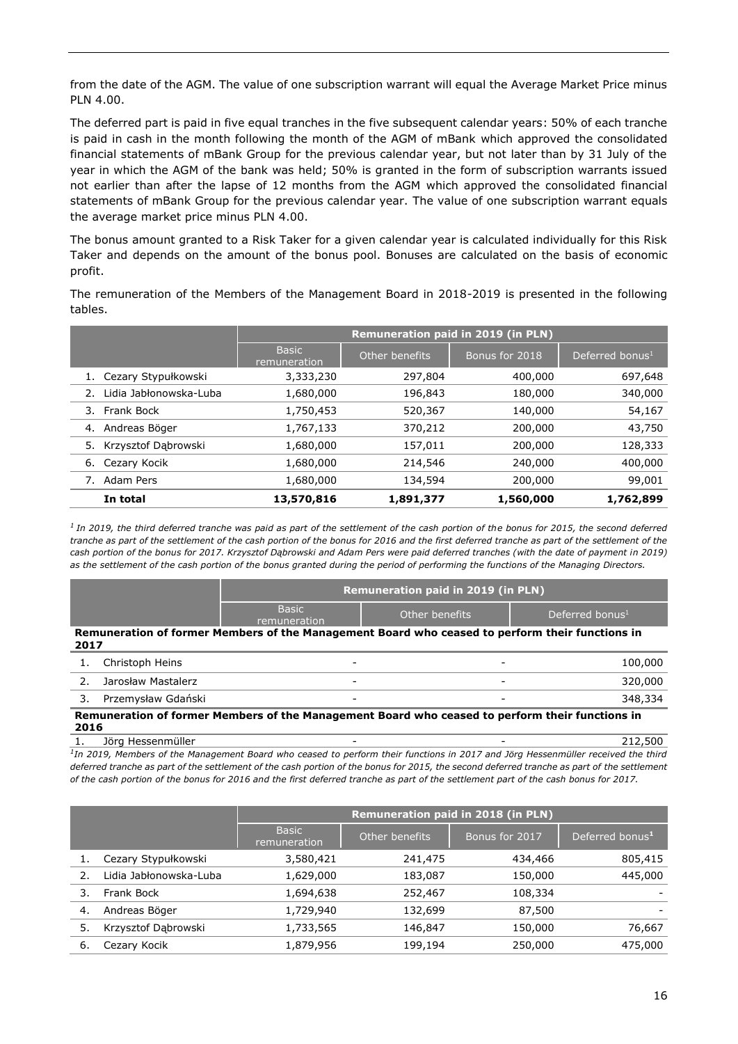from the date of the AGM. The value of one subscription warrant will equal the Average Market Price minus PLN 4.00.

The deferred part is paid in five equal tranches in the five subsequent calendar years: 50% of each tranche is paid in cash in the month following the month of the AGM of mBank which approved the consolidated financial statements of mBank Group for the previous calendar year, but not later than by 31 July of the year in which the AGM of the bank was held; 50% is granted in the form of subscription warrants issued not earlier than after the lapse of 12 months from the AGM which approved the consolidated financial statements of mBank Group for the previous calendar year. The value of one subscription warrant equals the average market price minus PLN 4.00.

The bonus amount granted to a Risk Taker for a given calendar year is calculated individually for this Risk Taker and depends on the amount of the bonus pool. Bonuses are calculated on the basis of economic profit.

The remuneration of the Members of the Management Board in 2018-2019 is presented in the following tables.

|                              |                              | <b>Remuneration paid in 2019 (in PLN)</b> |                |                             |  |
|------------------------------|------------------------------|-------------------------------------------|----------------|-----------------------------|--|
|                              | <b>Basic</b><br>remuneration | Other benefits                            | Bonus for 2018 | Deferred bonus <sup>1</sup> |  |
| 1. Cezary Stypułkowski       | 3,333,230                    | 297,804                                   | 400,000        | 697,648                     |  |
| Lidia Jabłonowska-Luba<br>2. | 1,680,000                    | 196,843                                   | 180,000        | 340,000                     |  |
| Frank Bock<br>3.             | 1,750,453                    | 520,367                                   | 140,000        | 54,167                      |  |
| Andreas Böger<br>4.          | 1,767,133                    | 370,212                                   | 200,000        | 43,750                      |  |
| Krzysztof Dąbrowski<br>5.    | 1,680,000                    | 157,011                                   | 200,000        | 128,333                     |  |
| Cezary Kocik<br>6.           | 1,680,000                    | 214,546                                   | 240,000        | 400,000                     |  |
| Adam Pers<br>7.              | 1,680,000                    | 134,594                                   | 200,000        | 99,001                      |  |
| In total                     | 13,570,816                   | 1,891,377                                 | 1,560,000      | 1,762,899                   |  |

<sup>1</sup> In 2019, the third deferred tranche was paid as part of the settlement of the cash portion of the bonus for 2015, the second deferred *tranche as part of the settlement of the cash portion of the bonus for 2016 and the first deferred tranche as part of the settlement of the cash portion of the bonus for 2017. Krzysztof Dąbrowski and Adam Pers were paid deferred tranches (with the date of payment in 2019) as the settlement of the cash portion of the bonus granted during the period of performing the functions of the Managing Directors.*

|      |                                                                                                         | <b>Remuneration paid in 2019 (in PLN)</b> |                                                                                                 |                             |  |  |  |
|------|---------------------------------------------------------------------------------------------------------|-------------------------------------------|-------------------------------------------------------------------------------------------------|-----------------------------|--|--|--|
|      |                                                                                                         | <b>Basic</b><br>remuneration              | Other benefits                                                                                  | Deferred bonus <sup>1</sup> |  |  |  |
| 2017 |                                                                                                         |                                           | Remuneration of former Members of the Management Board who ceased to perform their functions in |                             |  |  |  |
|      | Christoph Heins                                                                                         | $\overline{\phantom{a}}$                  | $\overline{\phantom{a}}$                                                                        | 100,000                     |  |  |  |
|      | Jarosław Mastalerz                                                                                      |                                           |                                                                                                 | 320,000                     |  |  |  |
|      | Przemysław Gdański                                                                                      |                                           |                                                                                                 | 348,334                     |  |  |  |
|      | Remuneration of former Members of the Management Board who ceased to perform their functions in<br>2016 |                                           |                                                                                                 |                             |  |  |  |

1. Jörg Hessenmüller **- 1. 1. Jörg Hessenmüller** - 1. 1. 212,500 <sup>1</sup>In 2019, Members of the Management Board who ceased to perform their functions in 2017 and Jörg Hessenmüller received the third

*deferred tranche as part of the settlement of the cash portion of the bonus for 2015, the second deferred tranche as part of the settlement of the cash portion of the bonus for 2016 and the first deferred tranche as part of the settlement part of the cash bonus for 2017.*

|    |                        |                              | Remuneration paid in 2018 (in PLN) |                |                             |  |  |
|----|------------------------|------------------------------|------------------------------------|----------------|-----------------------------|--|--|
|    |                        | <b>Basic</b><br>remuneration | Other benefits                     | Bonus for 2017 | Deferred bonus <sup>1</sup> |  |  |
|    | Cezary Stypułkowski    | 3,580,421                    | 241,475                            | 434,466        | 805,415                     |  |  |
|    | Lidia Jabłonowska-Luba | 1,629,000                    | 183,087                            | 150,000        | 445,000                     |  |  |
| 3. | Frank Bock             | 1,694,638                    | 252,467                            | 108,334        |                             |  |  |
| 4. | Andreas Böger          | 1,729,940                    | 132,699                            | 87,500         |                             |  |  |
| 5. | Krzysztof Dabrowski    | 1,733,565                    | 146,847                            | 150,000        | 76,667                      |  |  |
| 6. | Cezary Kocik           | 1,879,956                    | 199,194                            | 250,000        | 475,000                     |  |  |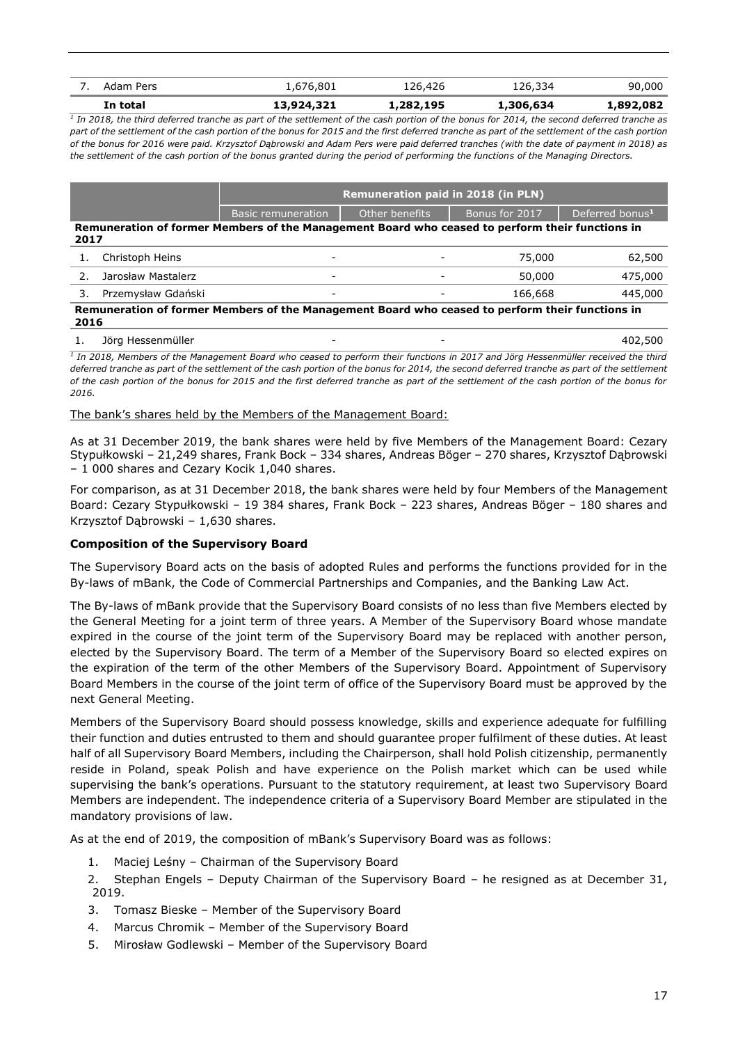| In total  | 13,924,321 | 1,282,195 | 1,306,634 | 1,892,082 |
|-----------|------------|-----------|-----------|-----------|
| Adam Pers | 1,676,801  | 126,426   | 126,334   | 90,000    |
|           |            |           |           |           |

*1 In 2018, the third deferred tranche as part of the settlement of the cash portion of the bonus for 2014, the second deferred tranche as part of the settlement of the cash portion of the bonus for 2015 and the first deferred tranche as part of the settlement of the cash portion of the bonus for 2016 were paid. Krzysztof Dąbrowski and Adam Pers were paid deferred tranches (with the date of payment in 2018) as the settlement of the cash portion of the bonus granted during the period of performing the functions of the Managing Directors.*

|                                                                                                         |                                                                                                         | <b>Remuneration paid in 2018 (in PLN)</b> |                |                |                             |  |  |
|---------------------------------------------------------------------------------------------------------|---------------------------------------------------------------------------------------------------------|-------------------------------------------|----------------|----------------|-----------------------------|--|--|
|                                                                                                         |                                                                                                         | Basic remuneration                        | Other benefits | Bonus for 2017 | Deferred bonus <sup>1</sup> |  |  |
| Remuneration of former Members of the Management Board who ceased to perform their functions in<br>2017 |                                                                                                         |                                           |                |                |                             |  |  |
|                                                                                                         | Christoph Heins                                                                                         | -                                         |                | 75,000         | 62,500                      |  |  |
|                                                                                                         | Jarosław Mastalerz                                                                                      | -                                         |                | 50,000         | 475,000                     |  |  |
| 3.                                                                                                      | Przemysław Gdański                                                                                      | -                                         |                | 166,668        | 445,000                     |  |  |
|                                                                                                         | Remuneration of former Members of the Management Board who ceased to perform their functions in<br>2016 |                                           |                |                |                             |  |  |

1. Jörg Hessenmüller - - 402,500

*1 In 2018, Members of the Management Board who ceased to perform their functions in 2017 and Jörg Hessenmüller received the third deferred tranche as part of the settlement of the cash portion of the bonus for 2014, the second deferred tranche as part of the settlement of the cash portion of the bonus for 2015 and the first deferred tranche as part of the settlement of the cash portion of the bonus for 2016.*

#### The bank's shares held by the Members of the Management Board:

As at 31 December 2019, the bank shares were held by five Members of the Management Board: Cezary Stypułkowski – 21,249 shares, Frank Bock – 334 shares, Andreas Böger – 270 shares, Krzysztof Dąbrowski – 1 000 shares and Cezary Kocik 1,040 shares.

For comparison, as at 31 December 2018, the bank shares were held by four Members of the Management Board: Cezary Stypułkowski – 19 384 shares, Frank Bock – 223 shares, Andreas Böger – 180 shares and Krzysztof Dąbrowski – 1,630 shares.

#### <span id="page-16-0"></span>**Composition of the Supervisory Board**

The Supervisory Board acts on the basis of adopted Rules and performs the functions provided for in the By-laws of mBank, the Code of Commercial Partnerships and Companies, and the Banking Law Act.

The By-laws of mBank provide that the Supervisory Board consists of no less than five Members elected by the General Meeting for a joint term of three years. A Member of the Supervisory Board whose mandate expired in the course of the joint term of the Supervisory Board may be replaced with another person, elected by the Supervisory Board. The term of a Member of the Supervisory Board so elected expires on the expiration of the term of the other Members of the Supervisory Board. Appointment of Supervisory Board Members in the course of the joint term of office of the Supervisory Board must be approved by the next General Meeting.

Members of the Supervisory Board should possess knowledge, skills and experience adequate for fulfilling their function and duties entrusted to them and should guarantee proper fulfilment of these duties. At least half of all Supervisory Board Members, including the Chairperson, shall hold Polish citizenship, permanently reside in Poland, speak Polish and have experience on the Polish market which can be used while supervising the bank's operations. Pursuant to the statutory requirement, at least two Supervisory Board Members are independent. The independence criteria of a Supervisory Board Member are stipulated in the mandatory provisions of law.

As at the end of 2019, the composition of mBank's Supervisory Board was as follows:

- 1. Maciej Leśny Chairman of the Supervisory Board
- 2. Stephan Engels Deputy Chairman of the Supervisory Board he resigned as at December 31, 2019.
- 3. Tomasz Bieske Member of the Supervisory Board
- 4. Marcus Chromik Member of the Supervisory Board
- 5. Mirosław Godlewski Member of the Supervisory Board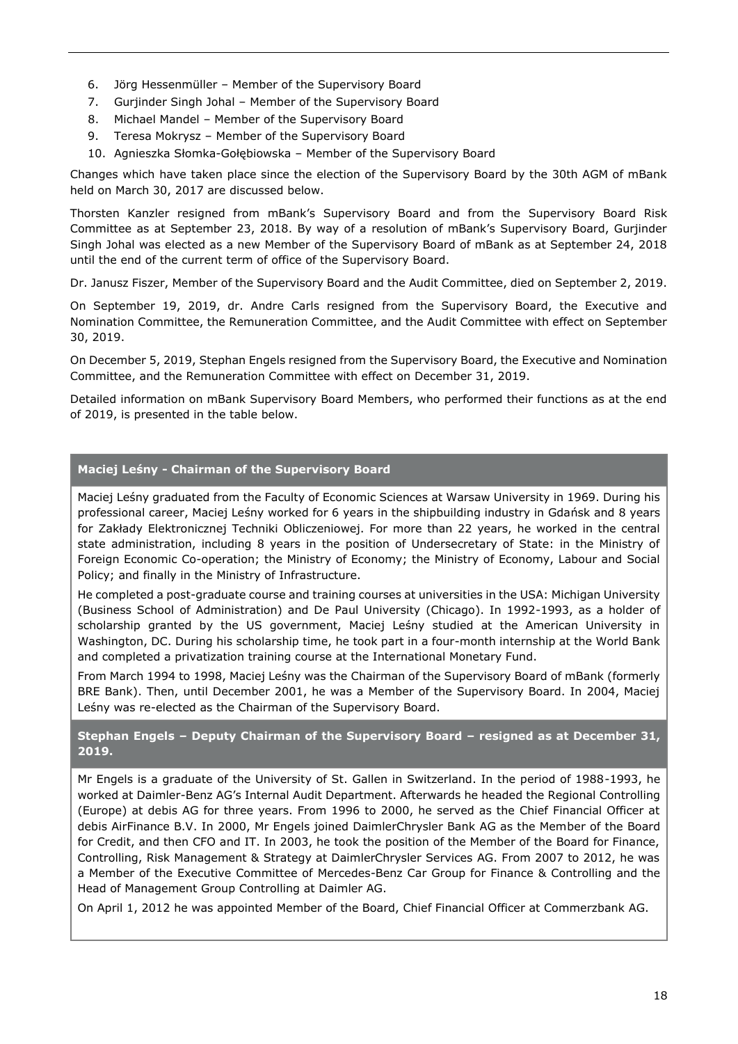- 6. Jörg Hessenmüller Member of the Supervisory Board
- 7. Gurjinder Singh Johal Member of the Supervisory Board
- 8. Michael Mandel Member of the Supervisory Board
- 9. Teresa Mokrysz Member of the Supervisory Board
- 10. Agnieszka Słomka-Gołębiowska Member of the Supervisory Board

Changes which have taken place since the election of the Supervisory Board by the 30th AGM of mBank held on March 30, 2017 are discussed below.

Thorsten Kanzler resigned from mBank's Supervisory Board and from the Supervisory Board Risk Committee as at September 23, 2018. By way of a resolution of mBank's Supervisory Board, Gurjinder Singh Johal was elected as a new Member of the Supervisory Board of mBank as at September 24, 2018 until the end of the current term of office of the Supervisory Board.

Dr. Janusz Fiszer, Member of the Supervisory Board and the Audit Committee, died on September 2, 2019.

On September 19, 2019, dr. Andre Carls resigned from the Supervisory Board, the Executive and Nomination Committee, the Remuneration Committee, and the Audit Committee with effect on September 30, 2019.

On December 5, 2019, Stephan Engels resigned from the Supervisory Board, the Executive and Nomination Committee, and the Remuneration Committee with effect on December 31, 2019.

Detailed information on mBank Supervisory Board Members, who performed their functions as at the end of 2019, is presented in the table below.

## **Maciej Leśny - Chairman of the Supervisory Board**

Maciej Leśny graduated from the Faculty of Economic Sciences at Warsaw University in 1969. During his professional career, Maciej Leśny worked for 6 years in the shipbuilding industry in Gdańsk and 8 years for Zakłady Elektronicznej Techniki Obliczeniowej. For more than 22 years, he worked in the central state administration, including 8 years in the position of Undersecretary of State: in the Ministry of Foreign Economic Co-operation; the Ministry of Economy; the Ministry of Economy, Labour and Social Policy; and finally in the Ministry of Infrastructure.

He completed a post-graduate course and training courses at universities in the USA: Michigan University (Business School of Administration) and De Paul University (Chicago). In 1992-1993, as a holder of scholarship granted by the US government, Maciej Leśny studied at the American University in Washington, DC. During his scholarship time, he took part in a four-month internship at the World Bank and completed a privatization training course at the International Monetary Fund.

From March 1994 to 1998, Maciej Leśny was the Chairman of the Supervisory Board of mBank (formerly BRE Bank). Then, until December 2001, he was a Member of the Supervisory Board. In 2004, Maciej Leśny was re-elected as the Chairman of the Supervisory Board.

## **Stephan Engels – Deputy Chairman of the Supervisory Board – resigned as at December 31, 2019.**

Mr Engels is a graduate of the University of St. Gallen in Switzerland. In the period of 1988-1993, he worked at Daimler-Benz AG's Internal Audit Department. Afterwards he headed the Regional Controlling (Europe) at debis AG for three years. From 1996 to 2000, he served as the Chief Financial Officer at debis AirFinance B.V. In 2000, Mr Engels joined DaimlerChrysler Bank AG as the Member of the Board for Credit, and then CFO and IT. In 2003, he took the position of the Member of the Board for Finance, Controlling, Risk Management & Strategy at DaimlerChrysler Services AG. From 2007 to 2012, he was a Member of the Executive Committee of Mercedes-Benz Car Group for Finance & Controlling and the Head of Management Group Controlling at Daimler AG.

On April 1, 2012 he was appointed Member of the Board, Chief Financial Officer at Commerzbank AG.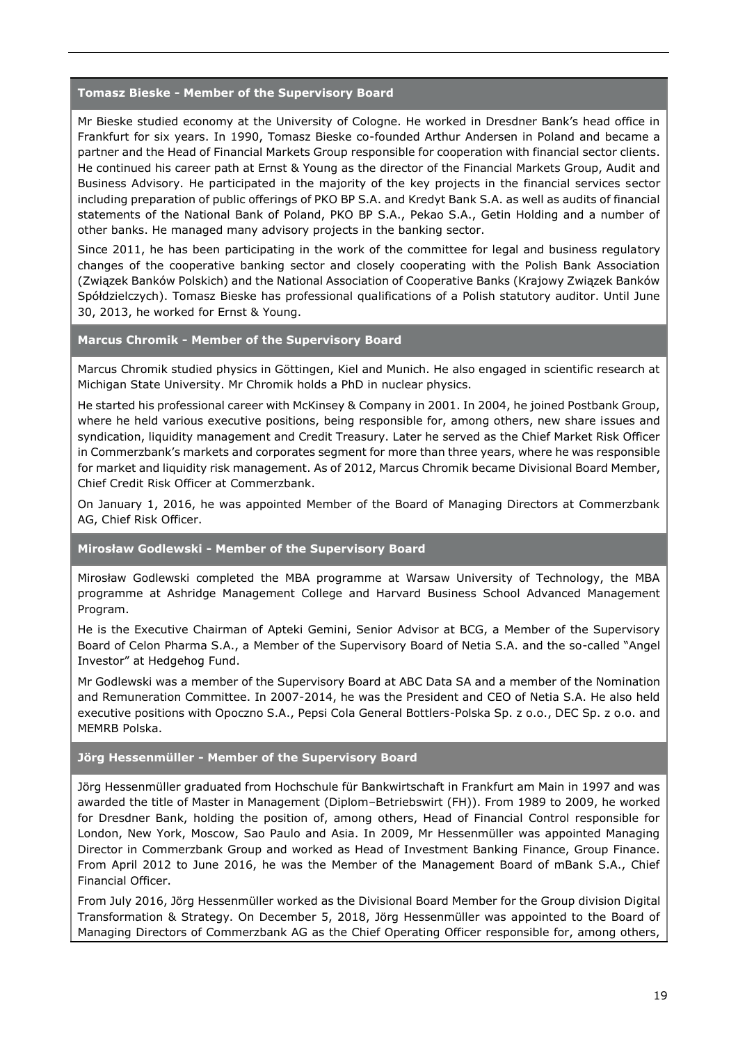#### **Tomasz Bieske - Member of the Supervisory Board**

Mr Bieske studied economy at the University of Cologne. He worked in Dresdner Bank's head office in Frankfurt for six years. In 1990, Tomasz Bieske co-founded Arthur Andersen in Poland and became a partner and the Head of Financial Markets Group responsible for cooperation with financial sector clients. He continued his career path at Ernst & Young as the director of the Financial Markets Group, Audit and Business Advisory. He participated in the majority of the key projects in the financial services sector including preparation of public offerings of PKO BP S.A. and Kredyt Bank S.A. as well as audits of financial statements of the National Bank of Poland, PKO BP S.A., Pekao S.A., Getin Holding and a number of other banks. He managed many advisory projects in the banking sector.

Since 2011, he has been participating in the work of the committee for legal and business regulatory changes of the cooperative banking sector and closely cooperating with the Polish Bank Association (Związek Banków Polskich) and the National Association of Cooperative Banks (Krajowy Związek Banków Spółdzielczych). Tomasz Bieske has professional qualifications of a Polish statutory auditor. Until June 30, 2013, he worked for Ernst & Young.

#### **Marcus Chromik - Member of the Supervisory Board**

Marcus Chromik studied physics in Göttingen, Kiel and Munich. He also engaged in scientific research at Michigan State University. Mr Chromik holds a PhD in nuclear physics.

He started his professional career with McKinsey & Company in 2001. In 2004, he joined Postbank Group, where he held various executive positions, being responsible for, among others, new share issues and syndication, liquidity management and Credit Treasury. Later he served as the Chief Market Risk Officer in Commerzbank's markets and corporates segment for more than three years, where he was responsible for market and liquidity risk management. As of 2012, Marcus Chromik became Divisional Board Member, Chief Credit Risk Officer at Commerzbank.

On January 1, 2016, he was appointed Member of the Board of Managing Directors at Commerzbank AG, Chief Risk Officer.

#### **Mirosław Godlewski - Member of the Supervisory Board**

Mirosław Godlewski completed the MBA programme at Warsaw University of Technology, the MBA programme at Ashridge Management College and Harvard Business School Advanced Management Program.

He is the Executive Chairman of Apteki Gemini, Senior Advisor at BCG, a Member of the Supervisory Board of Celon Pharma S.A., a Member of the Supervisory Board of Netia S.A. and the so-called "Angel Investor" at Hedgehog Fund.

Mr Godlewski was a member of the Supervisory Board at ABC Data SA and a member of the Nomination and Remuneration Committee. In 2007-2014, he was the President and CEO of Netia S.A. He also held executive positions with Opoczno S.A., Pepsi Cola General Bottlers-Polska Sp. z o.o., DEC Sp. z o.o. and MEMRB Polska.

#### **Jörg Hessenmüller - Member of the Supervisory Board**

Jörg Hessenmüller graduated from Hochschule für Bankwirtschaft in Frankfurt am Main in 1997 and was awarded the title of Master in Management (Diplom–Betriebswirt (FH)). From 1989 to 2009, he worked for Dresdner Bank, holding the position of, among others, Head of Financial Control responsible for London, New York, Moscow, Sao Paulo and Asia. In 2009, Mr Hessenmüller was appointed Managing Director in Commerzbank Group and worked as Head of Investment Banking Finance, Group Finance. From April 2012 to June 2016, he was the Member of the Management Board of mBank S.A., Chief Financial Officer.

From July 2016, Jörg Hessenmüller worked as the Divisional Board Member for the Group division Digital Transformation & Strategy. On December 5, 2018, Jörg Hessenmüller was appointed to the Board of Managing Directors of Commerzbank AG as the Chief Operating Officer responsible for, among others,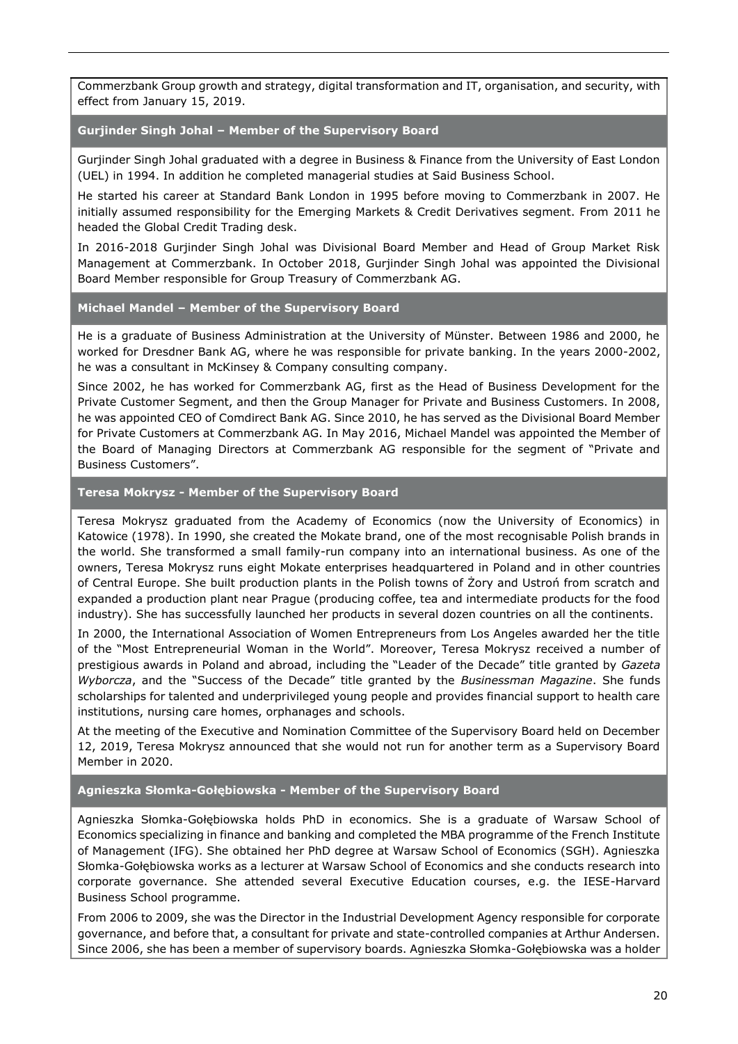Commerzbank Group growth and strategy, digital transformation and IT, organisation, and security, with effect from January 15, 2019.

#### **Gurjinder Singh Johal – Member of the Supervisory Board**

Gurjinder Singh Johal graduated with a degree in Business & Finance from the University of East London (UEL) in 1994. In addition he completed managerial studies at Said Business School.

He started his career at Standard Bank London in 1995 before moving to Commerzbank in 2007. He initially assumed responsibility for the Emerging Markets & Credit Derivatives segment. From 2011 he headed the Global Credit Trading desk.

In 2016-2018 Gurjinder Singh Johal was Divisional Board Member and Head of Group Market Risk Management at Commerzbank. In October 2018, Gurjinder Singh Johal was appointed the Divisional Board Member responsible for Group Treasury of Commerzbank AG.

#### **Michael Mandel – Member of the Supervisory Board**

He is a graduate of Business Administration at the University of Münster. Between 1986 and 2000, he worked for Dresdner Bank AG, where he was responsible for private banking. In the years 2000-2002, he was a consultant in McKinsey & Company consulting company.

Since 2002, he has worked for Commerzbank AG, first as the Head of Business Development for the Private Customer Segment, and then the Group Manager for Private and Business Customers. In 2008, he was appointed CEO of Comdirect Bank AG. Since 2010, he has served as the Divisional Board Member for Private Customers at Commerzbank AG. In May 2016, Michael Mandel was appointed the Member of the Board of Managing Directors at Commerzbank AG responsible for the segment of "Private and Business Customers".

#### **Teresa Mokrysz - Member of the Supervisory Board**

Teresa Mokrysz graduated from the Academy of Economics (now the University of Economics) in Katowice (1978). In 1990, she created the Mokate brand, one of the most recognisable Polish brands in the world. She transformed a small family-run company into an international business. As one of the owners, Teresa Mokrysz runs eight Mokate enterprises headquartered in Poland and in other countries of Central Europe. She built production plants in the Polish towns of Żory and Ustroń from scratch and expanded a production plant near Prague (producing coffee, tea and intermediate products for the food industry). She has successfully launched her products in several dozen countries on all the continents.

In 2000, the International Association of Women Entrepreneurs from Los Angeles awarded her the title of the "Most Entrepreneurial Woman in the World". Moreover, Teresa Mokrysz received a number of prestigious awards in Poland and abroad, including the "Leader of the Decade" title granted by *Gazeta Wyborcza*, and the "Success of the Decade" title granted by the *Businessman Magazine*. She funds scholarships for talented and underprivileged young people and provides financial support to health care institutions, nursing care homes, orphanages and schools.

At the meeting of the Executive and Nomination Committee of the Supervisory Board held on December 12, 2019, Teresa Mokrysz announced that she would not run for another term as a Supervisory Board Member in 2020.

#### **Agnieszka Słomka-Gołębiowska - Member of the Supervisory Board**

Agnieszka Słomka-Gołębiowska holds PhD in economics. She is a graduate of Warsaw School of Economics specializing in finance and banking and completed the MBA programme of the French Institute of Management (IFG). She obtained her PhD degree at Warsaw School of Economics (SGH). Agnieszka Słomka-Gołębiowska works as a lecturer at Warsaw School of Economics and she conducts research into corporate governance. She attended several Executive Education courses, e.g. the IESE-Harvard Business School programme.

From 2006 to 2009, she was the Director in the Industrial Development Agency responsible for corporate governance, and before that, a consultant for private and state-controlled companies at Arthur Andersen. Since 2006, she has been a member of supervisory boards. Agnieszka Słomka-Gołębiowska was a holder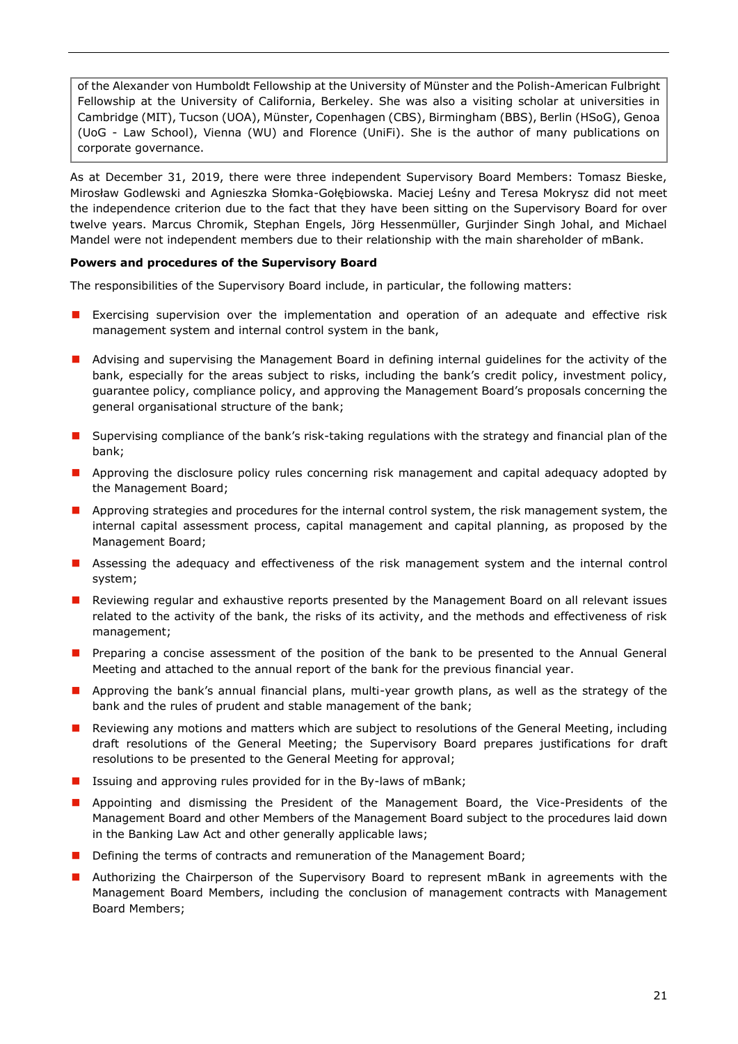of the Alexander von Humboldt Fellowship at the University of Münster and the Polish-American Fulbright Fellowship at the University of California, Berkeley. She was also a visiting scholar at universities in Cambridge (MIT), Tucson (UOA), Münster, Copenhagen (CBS), Birmingham (BBS), Berlin (HSoG), Genoa (UoG - Law School), Vienna (WU) and Florence (UniFi). She is the author of many publications on corporate governance.

As at December 31, 2019, there were three independent Supervisory Board Members: Tomasz Bieske, Mirosław Godlewski and Agnieszka Słomka-Gołębiowska. Maciej Leśny and Teresa Mokrysz did not meet the independence criterion due to the fact that they have been sitting on the Supervisory Board for over twelve years. Marcus Chromik, Stephan Engels, Jörg Hessenmüller, Gurjinder Singh Johal, and Michael Mandel were not independent members due to their relationship with the main shareholder of mBank.

#### <span id="page-20-0"></span>**Powers and procedures of the Supervisory Board**

The responsibilities of the Supervisory Board include, in particular, the following matters:

- **EXECT** Exercising supervision over the implementation and operation of an adequate and effective risk management system and internal control system in the bank,
- **A** Advising and supervising the Management Board in defining internal guidelines for the activity of the bank, especially for the areas subject to risks, including the bank's credit policy, investment policy, guarantee policy, compliance policy, and approving the Management Board's proposals concerning the general organisational structure of the bank;
- **If** Supervising compliance of the bank's risk-taking regulations with the strategy and financial plan of the bank;
- **A** Approving the disclosure policy rules concerning risk management and capital adequacy adopted by the Management Board;
- **A** Approving strategies and procedures for the internal control system, the risk management system, the internal capital assessment process, capital management and capital planning, as proposed by the Management Board;
- **Assessing the adequacy and effectiveness of the risk management system and the internal control** system;
- **Reviewing regular and exhaustive reports presented by the Management Board on all relevant issues** related to the activity of the bank, the risks of its activity, and the methods and effectiveness of risk management;
- **Preparing a concise assessment of the position of the bank to be presented to the Annual General** Meeting and attached to the annual report of the bank for the previous financial year.
- **Approving the bank's annual financial plans, multi-year growth plans, as well as the strategy of the** bank and the rules of prudent and stable management of the bank;
- **Reviewing any motions and matters which are subject to resolutions of the General Meeting, including** draft resolutions of the General Meeting; the Supervisory Board prepares justifications for draft resolutions to be presented to the General Meeting for approval;
- **I** Issuing and approving rules provided for in the By-laws of mBank;
- **Appointing and dismissing the President of the Management Board, the Vice-Presidents of the** Management Board and other Members of the Management Board subject to the procedures laid down in the Banking Law Act and other generally applicable laws;
- Defining the terms of contracts and remuneration of the Management Board;
- **Authorizing the Chairperson of the Supervisory Board to represent mBank in agreements with the** Management Board Members, including the conclusion of management contracts with Management Board Members;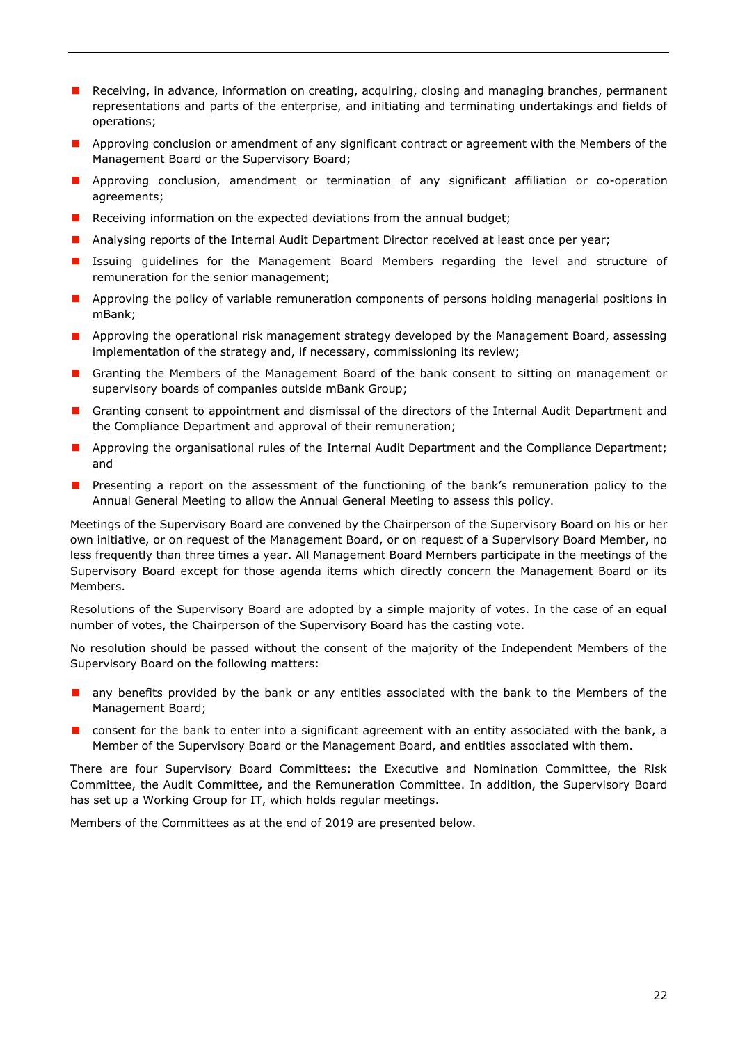- **Receiving, in advance, information on creating, acquiring, closing and managing branches, permanent** representations and parts of the enterprise, and initiating and terminating undertakings and fields of operations;
- **Approving conclusion or amendment of any significant contract or agreement with the Members of the** Management Board or the Supervisory Board;
- **Approving conclusion, amendment or termination of any significant affiliation or co-operation** agreements;
- Receiving information on the expected deviations from the annual budget;
- **Analysing reports of the Internal Audit Department Director received at least once per year;**
- **In** Issuing guidelines for the Management Board Members regarding the level and structure of remuneration for the senior management;
- **Approving the policy of variable remuneration components of persons holding managerial positions in** mBank;
- **Approving the operational risk management strategy developed by the Management Board, assessing** implementation of the strategy and, if necessary, commissioning its review;
- **E** Granting the Members of the Management Board of the bank consent to sitting on management or supervisory boards of companies outside mBank Group;
- **E** Granting consent to appointment and dismissal of the directors of the Internal Audit Department and the Compliance Department and approval of their remuneration;
- **Approving the organisational rules of the Internal Audit Department and the Compliance Department;** and
- Presenting a report on the assessment of the functioning of the bank's remuneration policy to the Annual General Meeting to allow the Annual General Meeting to assess this policy.

Meetings of the Supervisory Board are convened by the Chairperson of the Supervisory Board on his or her own initiative, or on request of the Management Board, or on request of a Supervisory Board Member, no less frequently than three times a year. All Management Board Members participate in the meetings of the Supervisory Board except for those agenda items which directly concern the Management Board or its Members.

Resolutions of the Supervisory Board are adopted by a simple majority of votes. In the case of an equal number of votes, the Chairperson of the Supervisory Board has the casting vote.

No resolution should be passed without the consent of the majority of the Independent Members of the Supervisory Board on the following matters:

- **n** any benefits provided by the bank or any entities associated with the bank to the Members of the Management Board;
- **D** consent for the bank to enter into a significant agreement with an entity associated with the bank, a Member of the Supervisory Board or the Management Board, and entities associated with them.

There are four Supervisory Board Committees: the Executive and Nomination Committee, the Risk Committee, the Audit Committee, and the Remuneration Committee. In addition, the Supervisory Board has set up a Working Group for IT, which holds regular meetings.

Members of the Committees as at the end of 2019 are presented below.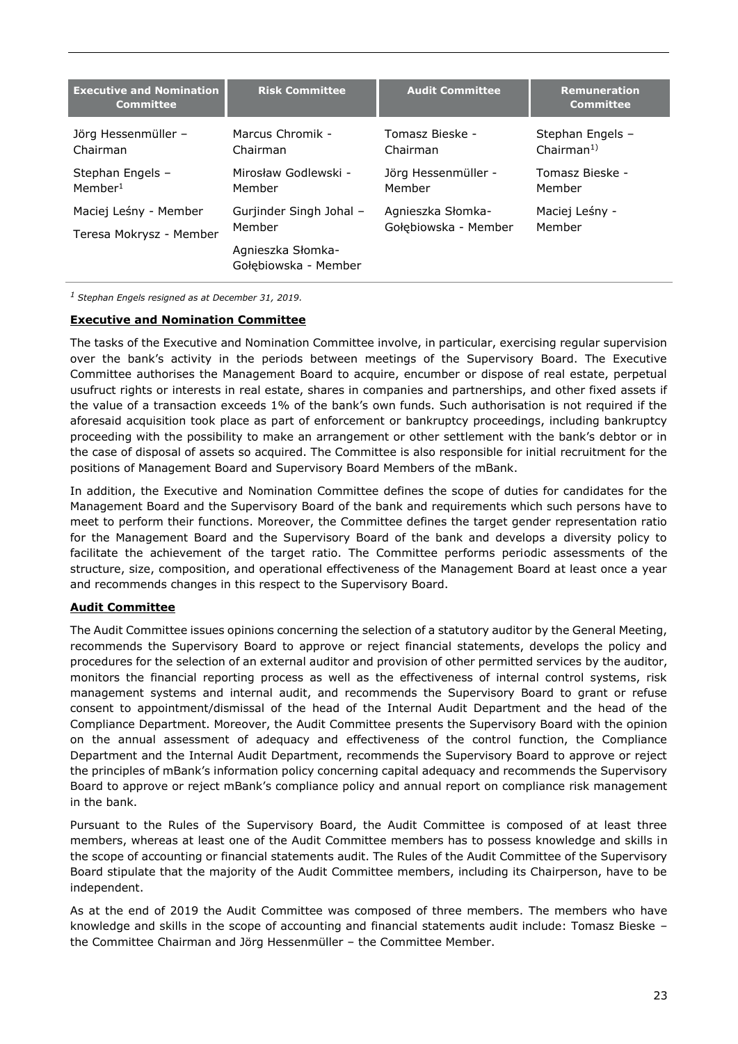| <b>Executive and Nomination</b><br><b>Committee</b> | <b>Risk Committee</b>                     | <b>Audit Committee</b> | <b>Remuneration</b><br><b>Committee</b> |
|-----------------------------------------------------|-------------------------------------------|------------------------|-----------------------------------------|
| Jörg Hessenmüller -                                 | Marcus Chromik -                          | Tomasz Bieske -        | Stephan Engels -                        |
| Chairman                                            | Chairman                                  | Chairman               | Chairman <sup>1</sup>                   |
| Stephan Engels -                                    | Mirosław Godlewski -                      | Jörg Hessenmüller -    | Tomasz Bieske -                         |
| Member <sup>1</sup>                                 | Member                                    | Member                 | Member                                  |
| Maciej Leśny - Member                               | Gurjinder Singh Johal -                   | Agnieszka Słomka-      | Maciej Leśny -                          |
| Teresa Mokrysz - Member                             | Member                                    | Gołębiowska - Member   | Member                                  |
|                                                     | Agnieszka Słomka-<br>Gołębiowska - Member |                        |                                         |

*<sup>1</sup>Stephan Engels resigned as at December 31, 2019.* 

#### **Executive and Nomination Committee**

The tasks of the Executive and Nomination Committee involve, in particular, exercising regular supervision over the bank's activity in the periods between meetings of the Supervisory Board. The Executive Committee authorises the Management Board to acquire, encumber or dispose of real estate, perpetual usufruct rights or interests in real estate, shares in companies and partnerships, and other fixed assets if the value of a transaction exceeds 1% of the bank's own funds. Such authorisation is not required if the aforesaid acquisition took place as part of enforcement or bankruptcy proceedings, including bankruptcy proceeding with the possibility to make an arrangement or other settlement with the bank's debtor or in the case of disposal of assets so acquired. The Committee is also responsible for initial recruitment for the positions of Management Board and Supervisory Board Members of the mBank.

In addition, the Executive and Nomination Committee defines the scope of duties for candidates for the Management Board and the Supervisory Board of the bank and requirements which such persons have to meet to perform their functions. Moreover, the Committee defines the target gender representation ratio for the Management Board and the Supervisory Board of the bank and develops a diversity policy to facilitate the achievement of the target ratio. The Committee performs periodic assessments of the structure, size, composition, and operational effectiveness of the Management Board at least once a year and recommends changes in this respect to the Supervisory Board.

#### **Audit Committee**

The Audit Committee issues opinions concerning the selection of a statutory auditor by the General Meeting, recommends the Supervisory Board to approve or reject financial statements, develops the policy and procedures for the selection of an external auditor and provision of other permitted services by the auditor, monitors the financial reporting process as well as the effectiveness of internal control systems, risk management systems and internal audit, and recommends the Supervisory Board to grant or refuse consent to appointment/dismissal of the head of the Internal Audit Department and the head of the Compliance Department. Moreover, the Audit Committee presents the Supervisory Board with the opinion on the annual assessment of adequacy and effectiveness of the control function, the Compliance Department and the Internal Audit Department, recommends the Supervisory Board to approve or reject the principles of mBank's information policy concerning capital adequacy and recommends the Supervisory Board to approve or reject mBank's compliance policy and annual report on compliance risk management in the bank.

Pursuant to the Rules of the Supervisory Board, the Audit Committee is composed of at least three members, whereas at least one of the Audit Committee members has to possess knowledge and skills in the scope of accounting or financial statements audit. The Rules of the Audit Committee of the Supervisory Board stipulate that the majority of the Audit Committee members, including its Chairperson, have to be independent.

As at the end of 2019 the Audit Committee was composed of three members. The members who have knowledge and skills in the scope of accounting and financial statements audit include: Tomasz Bieske – the Committee Chairman and Jörg Hessenmüller – the Committee Member.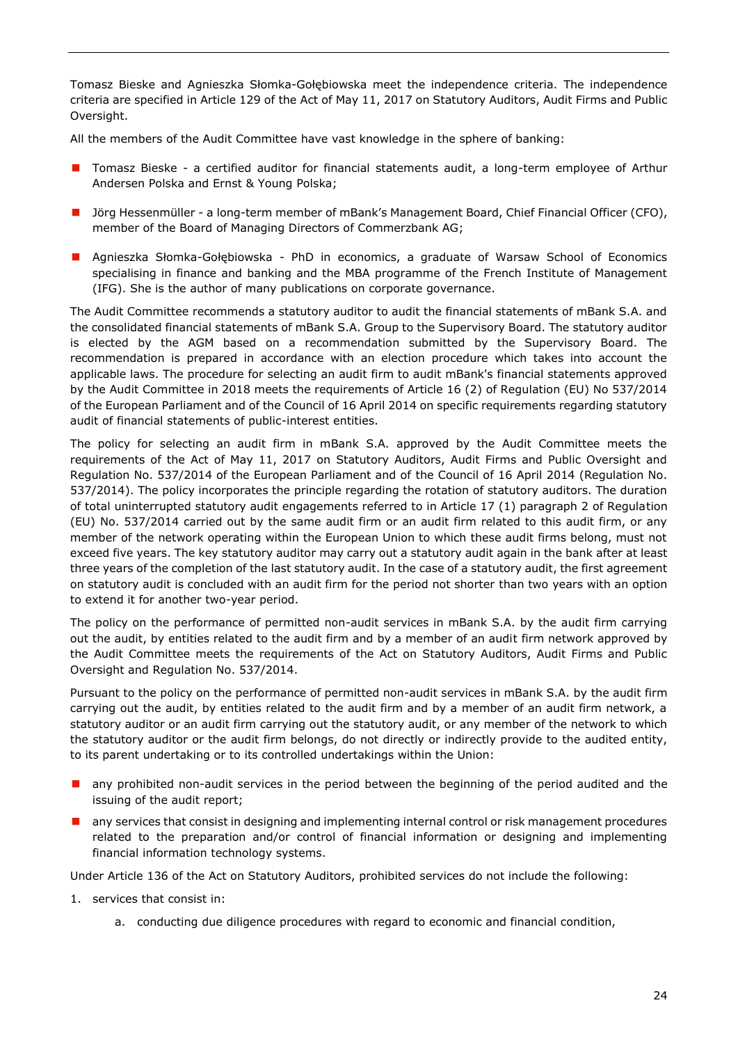Tomasz Bieske and Agnieszka Słomka-Gołębiowska meet the independence criteria. The independence criteria are specified in Article 129 of the Act of May 11, 2017 on Statutory Auditors, Audit Firms and Public Oversight.

All the members of the Audit Committee have vast knowledge in the sphere of banking:

- **T** Tomasz Bieske a certified auditor for financial statements audit, a long-term employee of Arthur Andersen Polska and Ernst & Young Polska;
- Jörg Hessenmüller a long-term member of mBank's Management Board, Chief Financial Officer (CFO), member of the Board of Managing Directors of Commerzbank AG;
- **Agnieszka Słomka-Gołębiowska PhD in economics, a graduate of Warsaw School of Economics** specialising in finance and banking and the MBA programme of the French Institute of Management (IFG). She is the author of many publications on corporate governance.

The Audit Committee recommends a statutory auditor to audit the financial statements of mBank S.A. and the consolidated financial statements of mBank S.A. Group to the Supervisory Board. The statutory auditor is elected by the AGM based on a recommendation submitted by the Supervisory Board. The recommendation is prepared in accordance with an election procedure which takes into account the applicable laws. The procedure for selecting an audit firm to audit mBank's financial statements approved by the Audit Committee in 2018 meets the requirements of Article 16 (2) of Regulation (EU) No 537/2014 of the European Parliament and of the Council of 16 April 2014 on specific requirements regarding statutory audit of financial statements of public-interest entities.

The policy for selecting an audit firm in mBank S.A. approved by the Audit Committee meets the requirements of the Act of May 11, 2017 on Statutory Auditors, Audit Firms and Public Oversight and Regulation No. 537/2014 of the European Parliament and of the Council of 16 April 2014 (Regulation No. 537/2014). The policy incorporates the principle regarding the rotation of statutory auditors. The duration of total uninterrupted statutory audit engagements referred to in Article 17 (1) paragraph 2 of Regulation (EU) No. 537/2014 carried out by the same audit firm or an audit firm related to this audit firm, or any member of the network operating within the European Union to which these audit firms belong, must not exceed five years. The key statutory auditor may carry out a statutory audit again in the bank after at least three years of the completion of the last statutory audit. In the case of a statutory audit, the first agreement on statutory audit is concluded with an audit firm for the period not shorter than two years with an option to extend it for another two-year period.

The policy on the performance of permitted non-audit services in mBank S.A. by the audit firm carrying out the audit, by entities related to the audit firm and by a member of an audit firm network approved by the Audit Committee meets the requirements of the Act on Statutory Auditors, Audit Firms and Public Oversight and Regulation No. 537/2014.

Pursuant to the policy on the performance of permitted non-audit services in mBank S.A. by the audit firm carrying out the audit, by entities related to the audit firm and by a member of an audit firm network, a statutory auditor or an audit firm carrying out the statutory audit, or any member of the network to which the statutory auditor or the audit firm belongs, do not directly or indirectly provide to the audited entity, to its parent undertaking or to its controlled undertakings within the Union:

- **n** any prohibited non-audit services in the period between the beginning of the period audited and the issuing of the audit report;
- **a** any services that consist in designing and implementing internal control or risk management procedures related to the preparation and/or control of financial information or designing and implementing financial information technology systems.

Under Article 136 of the Act on Statutory Auditors, prohibited services do not include the following:

- 1. services that consist in:
	- a. conducting due diligence procedures with regard to economic and financial condition,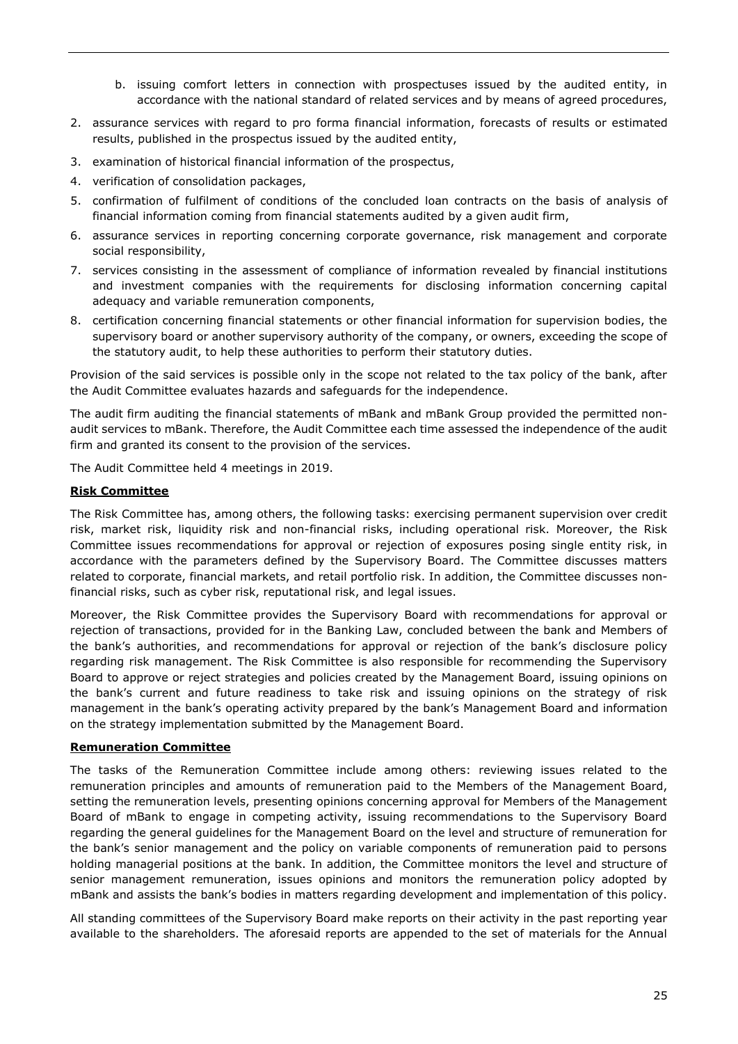- b. issuing comfort letters in connection with prospectuses issued by the audited entity, in accordance with the national standard of related services and by means of agreed procedures,
- 2. assurance services with regard to pro forma financial information, forecasts of results or estimated results, published in the prospectus issued by the audited entity,
- 3. examination of historical financial information of the prospectus,
- 4. verification of consolidation packages,
- 5. confirmation of fulfilment of conditions of the concluded loan contracts on the basis of analysis of financial information coming from financial statements audited by a given audit firm,
- 6. assurance services in reporting concerning corporate governance, risk management and corporate social responsibility,
- 7. services consisting in the assessment of compliance of information revealed by financial institutions and investment companies with the requirements for disclosing information concerning capital adequacy and variable remuneration components,
- 8. certification concerning financial statements or other financial information for supervision bodies, the supervisory board or another supervisory authority of the company, or owners, exceeding the scope of the statutory audit, to help these authorities to perform their statutory duties.

Provision of the said services is possible only in the scope not related to the tax policy of the bank, after the Audit Committee evaluates hazards and safeguards for the independence.

The audit firm auditing the financial statements of mBank and mBank Group provided the permitted nonaudit services to mBank. Therefore, the Audit Committee each time assessed the independence of the audit firm and granted its consent to the provision of the services.

The Audit Committee held 4 meetings in 2019.

#### **Risk Committee**

The Risk Committee has, among others, the following tasks: exercising permanent supervision over credit risk, market risk, liquidity risk and non-financial risks, including operational risk. Moreover, the Risk Committee issues recommendations for approval or rejection of exposures posing single entity risk, in accordance with the parameters defined by the Supervisory Board. The Committee discusses matters related to corporate, financial markets, and retail portfolio risk. In addition, the Committee discusses nonfinancial risks, such as cyber risk, reputational risk, and legal issues.

Moreover, the Risk Committee provides the Supervisory Board with recommendations for approval or rejection of transactions, provided for in the Banking Law, concluded between the bank and Members of the bank's authorities, and recommendations for approval or rejection of the bank's disclosure policy regarding risk management. The Risk Committee is also responsible for recommending the Supervisory Board to approve or reject strategies and policies created by the Management Board, issuing opinions on the bank's current and future readiness to take risk and issuing opinions on the strategy of risk management in the bank's operating activity prepared by the bank's Management Board and information on the strategy implementation submitted by the Management Board.

## **Remuneration Committee**

The tasks of the Remuneration Committee include among others: reviewing issues related to the remuneration principles and amounts of remuneration paid to the Members of the Management Board, setting the remuneration levels, presenting opinions concerning approval for Members of the Management Board of mBank to engage in competing activity, issuing recommendations to the Supervisory Board regarding the general guidelines for the Management Board on the level and structure of remuneration for the bank's senior management and the policy on variable components of remuneration paid to persons holding managerial positions at the bank. In addition, the Committee monitors the level and structure of senior management remuneration, issues opinions and monitors the remuneration policy adopted by mBank and assists the bank's bodies in matters regarding development and implementation of this policy.

All standing committees of the Supervisory Board make reports on their activity in the past reporting year available to the shareholders. The aforesaid reports are appended to the set of materials for the Annual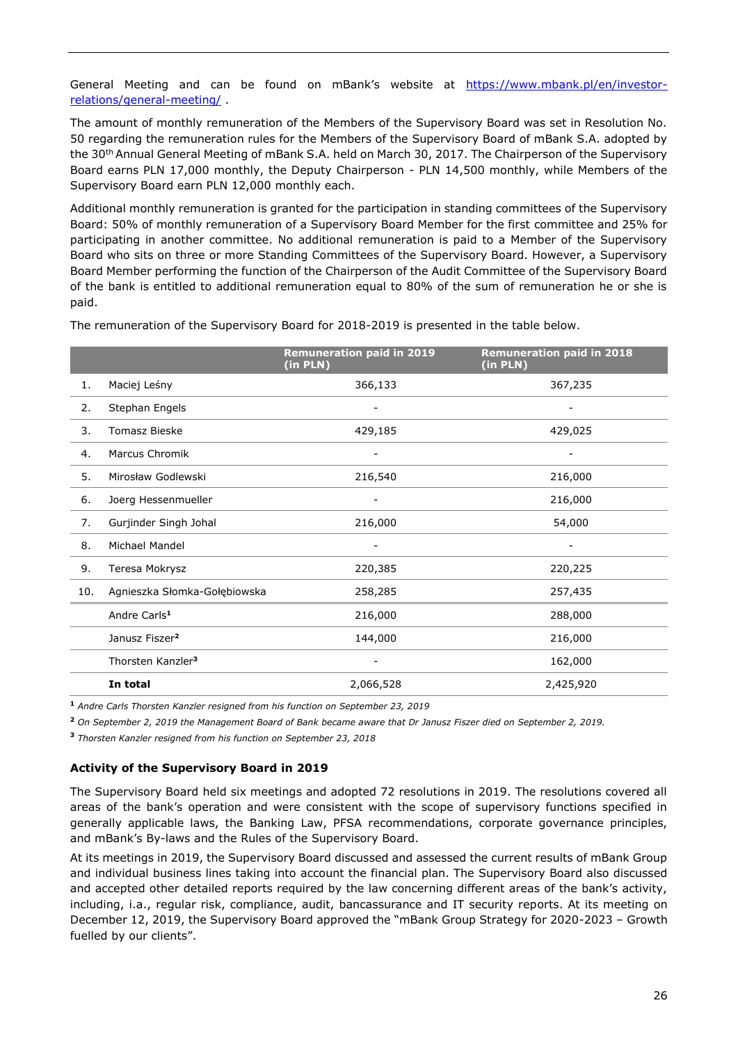General Meeting and can be found on mBank's website at [https://www.mbank.pl/en/investor](https://www.mbank.pl/en/investor-relations/general-meeting/)[relations/general-meeting/](https://www.mbank.pl/en/investor-relations/general-meeting/) .

The amount of monthly remuneration of the Members of the Supervisory Board was set in Resolution No. 50 regarding the remuneration rules for the Members of the Supervisory Board of mBank S.A. adopted by the 30th Annual General Meeting of mBank S.A. held on March 30, 2017. The Chairperson of the Supervisory Board earns PLN 17,000 monthly, the Deputy Chairperson - PLN 14,500 monthly, while Members of the Supervisory Board earn PLN 12,000 monthly each.

Additional monthly remuneration is granted for the participation in standing committees of the Supervisory Board: 50% of monthly remuneration of a Supervisory Board Member for the first committee and 25% for participating in another committee. No additional remuneration is paid to a Member of the Supervisory Board who sits on three or more Standing Committees of the Supervisory Board. However, a Supervisory Board Member performing the function of the Chairperson of the Audit Committee of the Supervisory Board of the bank is entitled to additional remuneration equal to 80% of the sum of remuneration he or she is paid.

**Remuneration paid in 2019 (in PLN) Remuneration paid in 2018 (in PLN)** 1. Maciej Leśny 366,133 366,133 367,235 2. Stephan Engels 3. Tomasz Bieske 429,185 429,025 4. Marcus Chromik 5. Mirosław Godlewski 216,540 216,000 6. Joerg Hessenmueller - 216,000 7. Gurjinder Singh Johal 216,000 54,000 8. Michael Mandel - - 9. Teresa Mokrysz 220,385 220,225 10. Agnieszka Słomka-Gołębiowska 258,285 257,435 Andre Carls<sup>1</sup> 216,000 288,000 288,000 Janusz Fiszer**<sup>2</sup>** 144,000 216,000 Thorsten Kanzler**<sup>3</sup>** - 162,000 **In total** 2,066,528 2,425,920

The remuneration of the Supervisory Board for 2018-2019 is presented in the table below.

**<sup>1</sup>** *Andre Carls Thorsten Kanzler resigned from his function on September 23, 2019*

**<sup>2</sup>** *On September 2, 2019 the Management Board of Bank became aware that Dr Janusz Fiszer died on September 2, 2019.*

**<sup>3</sup>** *Thorsten Kanzler resigned from his function on September 23, 2018*

#### **Activity of the Supervisory Board in 2019**

The Supervisory Board held six meetings and adopted 72 resolutions in 2019. The resolutions covered all areas of the bank's operation and were consistent with the scope of supervisory functions specified in generally applicable laws, the Banking Law, PFSA recommendations, corporate governance principles, and mBank's By-laws and the Rules of the Supervisory Board.

At its meetings in 2019, the Supervisory Board discussed and assessed the current results of mBank Group and individual business lines taking into account the financial plan. The Supervisory Board also discussed and accepted other detailed reports required by the law concerning different areas of the bank's activity, including, i.a., regular risk, compliance, audit, bancassurance and IT security reports. At its meeting on December 12, 2019, the Supervisory Board approved the "mBank Group Strategy for 2020-2023 – Growth fuelled by our clients".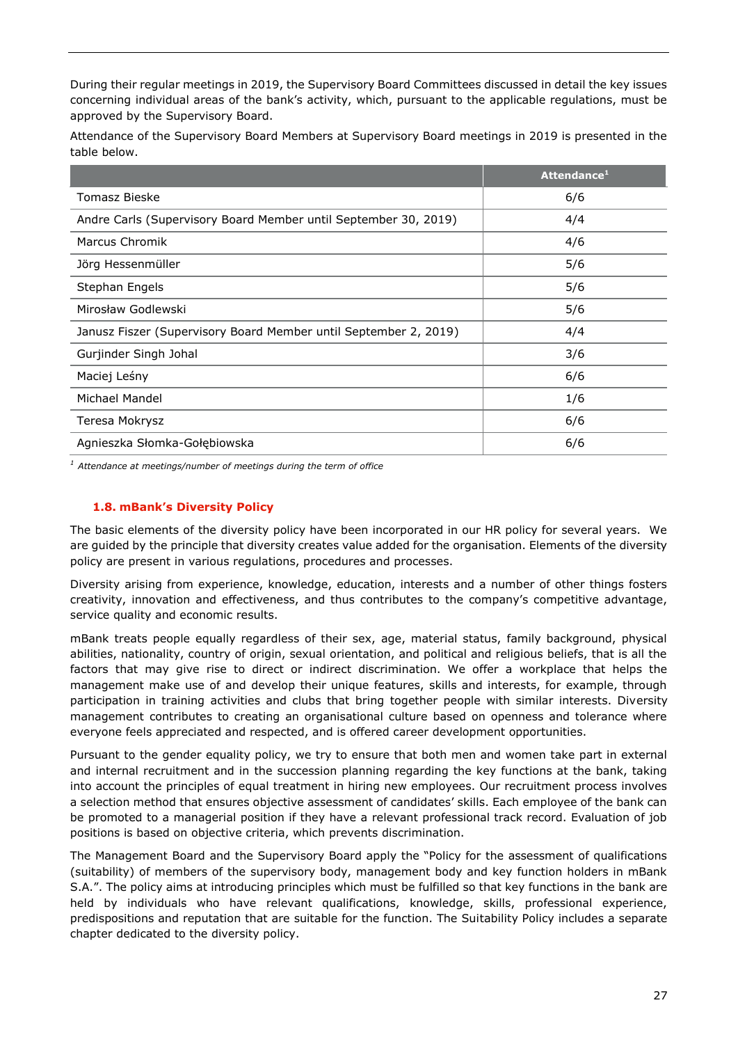During their regular meetings in 2019, the Supervisory Board Committees discussed in detail the key issues concerning individual areas of the bank's activity, which, pursuant to the applicable regulations, must be approved by the Supervisory Board.

Attendance of the Supervisory Board Members at Supervisory Board meetings in 2019 is presented in the table below.

|                                                                  | Attendance <sup>1</sup> |
|------------------------------------------------------------------|-------------------------|
| <b>Tomasz Bieske</b>                                             | 6/6                     |
| Andre Carls (Supervisory Board Member until September 30, 2019)  | 4/4                     |
| <b>Marcus Chromik</b>                                            | 4/6                     |
| Jörg Hessenmüller                                                | 5/6                     |
| Stephan Engels                                                   | 5/6                     |
| Mirosław Godlewski                                               | 5/6                     |
| Janusz Fiszer (Supervisory Board Member until September 2, 2019) | 4/4                     |
| Gurjinder Singh Johal                                            | 3/6                     |
| Maciej Leśny                                                     | 6/6                     |
| Michael Mandel                                                   | 1/6                     |
| Teresa Mokrysz                                                   | 6/6                     |
| Agnieszka Słomka-Gołębiowska                                     | 6/6                     |

*<sup>1</sup> Attendance at meetings/number of meetings during the term of office*

#### **1.8. mBank's Diversity Policy**

<span id="page-26-0"></span>The basic elements of the diversity policy have been incorporated in our HR policy for several years. We are guided by the principle that diversity creates value added for the organisation. Elements of the diversity policy are present in various regulations, procedures and processes.

Diversity arising from experience, knowledge, education, interests and a number of other things fosters creativity, innovation and effectiveness, and thus contributes to the company's competitive advantage, service quality and economic results.

mBank treats people equally regardless of their sex, age, material status, family background, physical abilities, nationality, country of origin, sexual orientation, and political and religious beliefs, that is all the factors that may give rise to direct or indirect discrimination. We offer a workplace that helps the management make use of and develop their unique features, skills and interests, for example, through participation in training activities and clubs that bring together people with similar interests. Diversity management contributes to creating an organisational culture based on openness and tolerance where everyone feels appreciated and respected, and is offered career development opportunities.

Pursuant to the gender equality policy, we try to ensure that both men and women take part in external and internal recruitment and in the succession planning regarding the key functions at the bank, taking into account the principles of equal treatment in hiring new employees. Our recruitment process involves a selection method that ensures objective assessment of candidates' skills. Each employee of the bank can be promoted to a managerial position if they have a relevant professional track record. Evaluation of job positions is based on objective criteria, which prevents discrimination.

The Management Board and the Supervisory Board apply the "Policy for the assessment of qualifications (suitability) of members of the supervisory body, management body and key function holders in mBank S.A.". The policy aims at introducing principles which must be fulfilled so that key functions in the bank are held by individuals who have relevant qualifications, knowledge, skills, professional experience, predispositions and reputation that are suitable for the function. The Suitability Policy includes a separate chapter dedicated to the diversity policy.